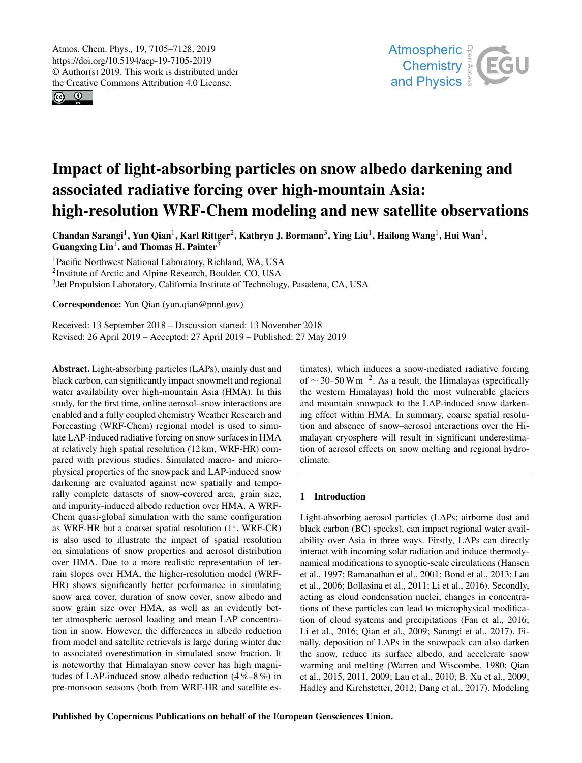$\circledcirc$ 



# Impact of light-absorbing particles on snow albedo darkening and associated radiative forcing over high-mountain Asia: high-resolution WRF-Chem modeling and new satellite observations

Chandan Sarangi<sup>1</sup>, Yun Qian<sup>1</sup>, Karl Rittger<sup>2</sup>, Kathryn J. Bormann<sup>3</sup>, Ying Liu<sup>1</sup>, Hailong Wang<sup>1</sup>, Hui Wan<sup>1</sup>, Guangxing  $\text{Lin}^1$ , and Thomas H. Painter<sup>3</sup>

<sup>1</sup>Pacific Northwest National Laboratory, Richland, WA, USA <sup>2</sup>Institute of Arctic and Alpine Research, Boulder, CO, USA <sup>3</sup> Jet Propulsion Laboratory, California Institute of Technology, Pasadena, CA, USA

Correspondence: Yun Qian (yun.qian@pnnl.gov)

Received: 13 September 2018 – Discussion started: 13 November 2018 Revised: 26 April 2019 – Accepted: 27 April 2019 – Published: 27 May 2019

Abstract. Light-absorbing particles (LAPs), mainly dust and black carbon, can significantly impact snowmelt and regional water availability over high-mountain Asia (HMA). In this study, for the first time, online aerosol–snow interactions are enabled and a fully coupled chemistry Weather Research and Forecasting (WRF-Chem) regional model is used to simulate LAP-induced radiative forcing on snow surfaces in HMA at relatively high spatial resolution (12 km, WRF-HR) compared with previous studies. Simulated macro- and microphysical properties of the snowpack and LAP-induced snow darkening are evaluated against new spatially and temporally complete datasets of snow-covered area, grain size, and impurity-induced albedo reduction over HMA. A WRF-Chem quasi-global simulation with the same configuration as WRF-HR but a coarser spatial resolution (1◦ , WRF-CR) is also used to illustrate the impact of spatial resolution on simulations of snow properties and aerosol distribution over HMA. Due to a more realistic representation of terrain slopes over HMA, the higher-resolution model (WRF-HR) shows significantly better performance in simulating snow area cover, duration of snow cover, snow albedo and snow grain size over HMA, as well as an evidently better atmospheric aerosol loading and mean LAP concentration in snow. However, the differences in albedo reduction from model and satellite retrievals is large during winter due to associated overestimation in simulated snow fraction. It is noteworthy that Himalayan snow cover has high magnitudes of LAP-induced snow albedo reduction  $(4\% - 8\%)$  in pre-monsoon seasons (both from WRF-HR and satellite estimates), which induces a snow-mediated radiative forcing of  $\sim$  30–50 W m<sup>-2</sup>. As a result, the Himalayas (specifically the western Himalayas) hold the most vulnerable glaciers and mountain snowpack to the LAP-induced snow darkening effect within HMA. In summary, coarse spatial resolution and absence of snow–aerosol interactions over the Himalayan cryosphere will result in significant underestimation of aerosol effects on snow melting and regional hydroclimate.

# 1 Introduction

Light-absorbing aerosol particles (LAPs; airborne dust and black carbon (BC) specks), can impact regional water availability over Asia in three ways. Firstly, LAPs can directly interact with incoming solar radiation and induce thermodynamical modifications to synoptic-scale circulations (Hansen et al., 1997; Ramanathan et al., 2001; Bond et al., 2013; Lau et al., 2006; Bollasina et al., 2011; Li et al., 2016). Secondly, acting as cloud condensation nuclei, changes in concentrations of these particles can lead to microphysical modification of cloud systems and precipitations (Fan et al., 2016; Li et al., 2016; Qian et al., 2009; Sarangi et al., 2017). Finally, deposition of LAPs in the snowpack can also darken the snow, reduce its surface albedo, and accelerate snow warming and melting (Warren and Wiscombe, 1980; Qian et al., 2015, 2011, 2009; Lau et al., 2010; B. Xu et al., 2009; Hadley and Kirchstetter, 2012; Dang et al., 2017). Modeling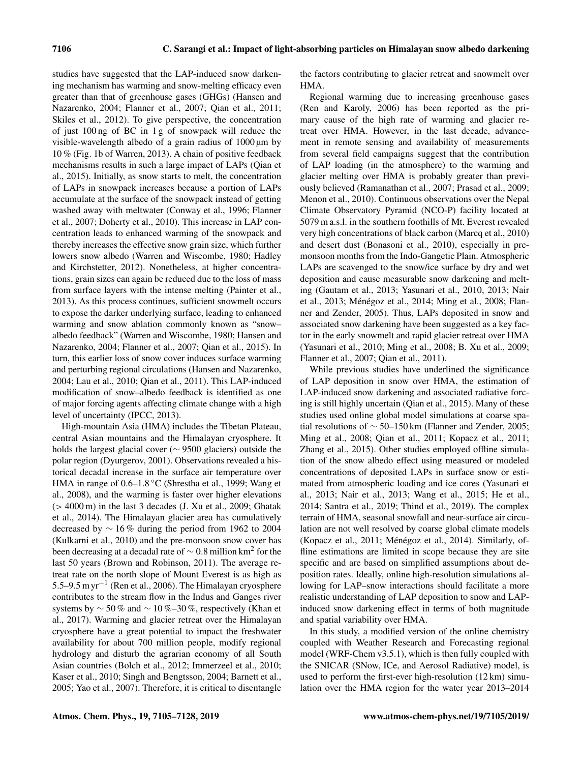studies have suggested that the LAP-induced snow darkening mechanism has warming and snow-melting efficacy even greater than that of greenhouse gases (GHGs) (Hansen and Nazarenko, 2004; Flanner et al., 2007; Qian et al., 2011; Skiles et al., 2012). To give perspective, the concentration of just 100 ng of BC in 1 g of snowpack will reduce the visible-wavelength albedo of a grain radius of 1000 µm by 10 % (Fig. 1b of Warren, 2013). A chain of positive feedback mechanisms results in such a large impact of LAPs (Qian et al., 2015). Initially, as snow starts to melt, the concentration of LAPs in snowpack increases because a portion of LAPs accumulate at the surface of the snowpack instead of getting washed away with meltwater (Conway et al., 1996; Flanner et al., 2007; Doherty et al., 2010). This increase in LAP concentration leads to enhanced warming of the snowpack and thereby increases the effective snow grain size, which further lowers snow albedo (Warren and Wiscombe, 1980; Hadley and Kirchstetter, 2012). Nonetheless, at higher concentrations, grain sizes can again be reduced due to the loss of mass from surface layers with the intense melting (Painter et al., 2013). As this process continues, sufficient snowmelt occurs to expose the darker underlying surface, leading to enhanced warming and snow ablation commonly known as "snow– albedo feedback" (Warren and Wiscombe, 1980; Hansen and Nazarenko, 2004; Flanner et al., 2007; Qian et al., 2015). In turn, this earlier loss of snow cover induces surface warming and perturbing regional circulations (Hansen and Nazarenko, 2004; Lau et al., 2010; Qian et al., 2011). This LAP-induced modification of snow–albedo feedback is identified as one of major forcing agents affecting climate change with a high level of uncertainty (IPCC, 2013).

High-mountain Asia (HMA) includes the Tibetan Plateau, central Asian mountains and the Himalayan cryosphere. It holds the largest glacial cover (∼ 9500 glaciers) outside the polar region (Dyurgerov, 2001). Observations revealed a historical decadal increase in the surface air temperature over HMA in range of 0.6–1.8 ◦C (Shrestha et al., 1999; Wang et al., 2008), and the warming is faster over higher elevations  $(> 4000 \,\mathrm{m})$  in the last 3 decades (J. Xu et al., 2009; Ghatak et al., 2014). The Himalayan glacier area has cumulatively decreased by ∼ 16 % during the period from 1962 to 2004 (Kulkarni et al., 2010) and the pre-monsoon snow cover has been decreasing at a decadal rate of  $\sim$  0.8 million km<sup>2</sup> for the last 50 years (Brown and Robinson, 2011). The average retreat rate on the north slope of Mount Everest is as high as 5.5–9.5 m yr−<sup>1</sup> (Ren et al., 2006). The Himalayan cryosphere contributes to the stream flow in the Indus and Ganges river systems by  $\sim$  50 % and  $\sim$  10 %–30 %, respectively (Khan et al., 2017). Warming and glacier retreat over the Himalayan cryosphere have a great potential to impact the freshwater availability for about 700 million people, modify regional hydrology and disturb the agrarian economy of all South Asian countries (Bolch et al., 2012; Immerzeel et al., 2010; Kaser et al., 2010; Singh and Bengtsson, 2004; Barnett et al., 2005; Yao et al., 2007). Therefore, it is critical to disentangle the factors contributing to glacier retreat and snowmelt over HMA.

Regional warming due to increasing greenhouse gases (Ren and Karoly, 2006) has been reported as the primary cause of the high rate of warming and glacier retreat over HMA. However, in the last decade, advancement in remote sensing and availability of measurements from several field campaigns suggest that the contribution of LAP loading (in the atmosphere) to the warming and glacier melting over HMA is probably greater than previously believed (Ramanathan et al., 2007; Prasad et al., 2009; Menon et al., 2010). Continuous observations over the Nepal Climate Observatory Pyramid (NCO-P) facility located at 5079 m a.s.l. in the southern foothills of Mt. Everest revealed very high concentrations of black carbon (Marcq et al., 2010) and desert dust (Bonasoni et al., 2010), especially in premonsoon months from the Indo-Gangetic Plain. Atmospheric LAPs are scavenged to the snow/ice surface by dry and wet deposition and cause measurable snow darkening and melting (Gautam et al., 2013; Yasunari et al., 2010, 2013; Nair et al., 2013; Ménégoz et al., 2014; Ming et al., 2008; Flanner and Zender, 2005). Thus, LAPs deposited in snow and associated snow darkening have been suggested as a key factor in the early snowmelt and rapid glacier retreat over HMA (Yasunari et al., 2010; Ming et al., 2008; B. Xu et al., 2009; Flanner et al., 2007; Qian et al., 2011).

While previous studies have underlined the significance of LAP deposition in snow over HMA, the estimation of LAP-induced snow darkening and associated radiative forcing is still highly uncertain (Qian et al., 2015). Many of these studies used online global model simulations at coarse spatial resolutions of  $\sim$  50–150 km (Flanner and Zender, 2005; Ming et al., 2008; Qian et al., 2011; Kopacz et al., 2011; Zhang et al., 2015). Other studies employed offline simulation of the snow albedo effect using measured or modeled concentrations of deposited LAPs in surface snow or estimated from atmospheric loading and ice cores (Yasunari et al., 2013; Nair et al., 2013; Wang et al., 2015; He et al., 2014; Santra et al., 2019; Thind et al., 2019). The complex terrain of HMA, seasonal snowfall and near-surface air circulation are not well resolved by coarse global climate models (Kopacz et al., 2011; Ménégoz et al., 2014). Similarly, offline estimations are limited in scope because they are site specific and are based on simplified assumptions about deposition rates. Ideally, online high-resolution simulations allowing for LAP–snow interactions should facilitate a more realistic understanding of LAP deposition to snow and LAPinduced snow darkening effect in terms of both magnitude and spatial variability over HMA.

In this study, a modified version of the online chemistry coupled with Weather Research and Forecasting regional model (WRF-Chem v3.5.1), which is then fully coupled with the SNICAR (SNow, ICe, and Aerosol Radiative) model, is used to perform the first-ever high-resolution (12 km) simulation over the HMA region for the water year 2013–2014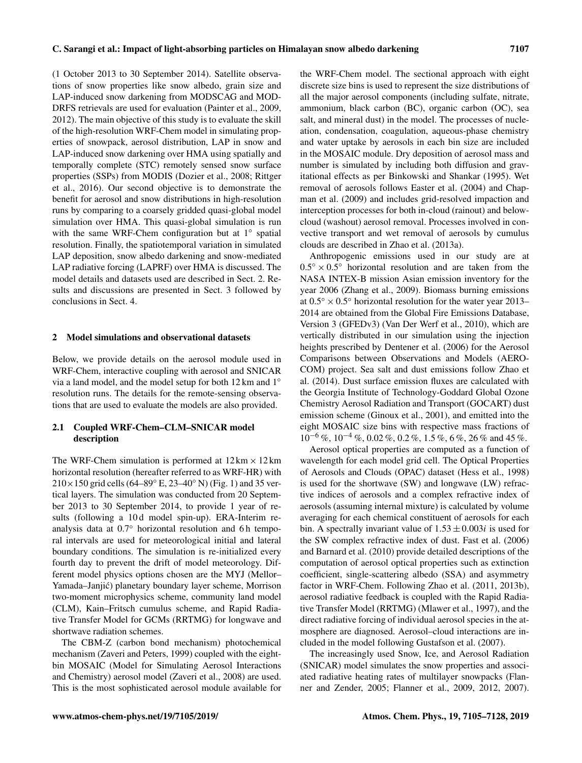(1 October 2013 to 30 September 2014). Satellite observations of snow properties like snow albedo, grain size and LAP-induced snow darkening from MODSCAG and MOD-DRFS retrievals are used for evaluation (Painter et al., 2009, 2012). The main objective of this study is to evaluate the skill of the high-resolution WRF-Chem model in simulating properties of snowpack, aerosol distribution, LAP in snow and LAP-induced snow darkening over HMA using spatially and temporally complete (STC) remotely sensed snow surface properties (SSPs) from MODIS (Dozier et al., 2008; Rittger et al., 2016). Our second objective is to demonstrate the benefit for aerosol and snow distributions in high-resolution runs by comparing to a coarsely gridded quasi-global model simulation over HMA. This quasi-global simulation is run with the same WRF-Chem configuration but at 1° spatial resolution. Finally, the spatiotemporal variation in simulated LAP deposition, snow albedo darkening and snow-mediated LAP radiative forcing (LAPRF) over HMA is discussed. The model details and datasets used are described in Sect. 2. Results and discussions are presented in Sect. 3 followed by conclusions in Sect. 4.

## 2 Model simulations and observational datasets

Below, we provide details on the aerosol module used in WRF-Chem, interactive coupling with aerosol and SNICAR via a land model, and the model setup for both 12 km and 1◦ resolution runs. The details for the remote-sensing observations that are used to evaluate the models are also provided.

# 2.1 Coupled WRF-Chem–CLM–SNICAR model description

The WRF-Chem simulation is performed at  $12 \text{ km} \times 12 \text{ km}$ horizontal resolution (hereafter referred to as WRF-HR) with  $210\times150$  grid cells (64–89° E, 23–40° N) (Fig. 1) and 35 vertical layers. The simulation was conducted from 20 September 2013 to 30 September 2014, to provide 1 year of results (following a 10 d model spin-up). ERA-Interim reanalysis data at 0.7◦ horizontal resolution and 6 h temporal intervals are used for meteorological initial and lateral boundary conditions. The simulation is re-initialized every fourth day to prevent the drift of model meteorology. Different model physics options chosen are the MYJ (Mellor– Yamada–Janjic) planetary boundary layer scheme, Morrison ´ two-moment microphysics scheme, community land model (CLM), Kain–Fritsch cumulus scheme, and Rapid Radiative Transfer Model for GCMs (RRTMG) for longwave and shortwave radiation schemes.

The CBM-Z (carbon bond mechanism) photochemical mechanism (Zaveri and Peters, 1999) coupled with the eightbin MOSAIC (Model for Simulating Aerosol Interactions and Chemistry) aerosol model (Zaveri et al., 2008) are used. This is the most sophisticated aerosol module available for the WRF-Chem model. The sectional approach with eight discrete size bins is used to represent the size distributions of all the major aerosol components (including sulfate, nitrate, ammonium, black carbon (BC), organic carbon (OC), sea salt, and mineral dust) in the model. The processes of nucleation, condensation, coagulation, aqueous-phase chemistry and water uptake by aerosols in each bin size are included in the MOSAIC module. Dry deposition of aerosol mass and number is simulated by including both diffusion and gravitational effects as per Binkowski and Shankar (1995). Wet removal of aerosols follows Easter et al. (2004) and Chapman et al. (2009) and includes grid-resolved impaction and interception processes for both in-cloud (rainout) and belowcloud (washout) aerosol removal. Processes involved in convective transport and wet removal of aerosols by cumulus clouds are described in Zhao et al. (2013a).

Anthropogenic emissions used in our study are at  $0.5^\circ \times 0.5^\circ$  horizontal resolution and are taken from the NASA INTEX-B mission Asian emission inventory for the year 2006 (Zhang et al., 2009). Biomass burning emissions at  $0.5° \times 0.5°$  horizontal resolution for the water year 2013– 2014 are obtained from the Global Fire Emissions Database, Version 3 (GFEDv3) (Van Der Werf et al., 2010), which are vertically distributed in our simulation using the injection heights prescribed by Dentener et al. (2006) for the Aerosol Comparisons between Observations and Models (AERO-COM) project. Sea salt and dust emissions follow Zhao et al. (2014). Dust surface emission fluxes are calculated with the Georgia Institute of Technology-Goddard Global Ozone Chemistry Aerosol Radiation and Transport (GOCART) dust emission scheme (Ginoux et al., 2001), and emitted into the eight MOSAIC size bins with respective mass fractions of  $10^{-6}$  %,  $10^{-4}$  %, 0.02 %, 0.2 %, 1.5 %, 6 %, 26 % and 45 %.

Aerosol optical properties are computed as a function of wavelength for each model grid cell. The Optical Properties of Aerosols and Clouds (OPAC) dataset (Hess et al., 1998) is used for the shortwave (SW) and longwave (LW) refractive indices of aerosols and a complex refractive index of aerosols (assuming internal mixture) is calculated by volume averaging for each chemical constituent of aerosols for each bin. A spectrally invariant value of  $1.53 \pm 0.003i$  is used for the SW complex refractive index of dust. Fast et al. (2006) and Barnard et al. (2010) provide detailed descriptions of the computation of aerosol optical properties such as extinction coefficient, single-scattering albedo (SSA) and asymmetry factor in WRF-Chem. Following Zhao et al. (2011, 2013b), aerosol radiative feedback is coupled with the Rapid Radiative Transfer Model (RRTMG) (Mlawer et al., 1997), and the direct radiative forcing of individual aerosol species in the atmosphere are diagnosed. Aerosol–cloud interactions are included in the model following Gustafson et al. (2007).

The increasingly used Snow, Ice, and Aerosol Radiation (SNICAR) model simulates the snow properties and associated radiative heating rates of multilayer snowpacks (Flanner and Zender, 2005; Flanner et al., 2009, 2012, 2007).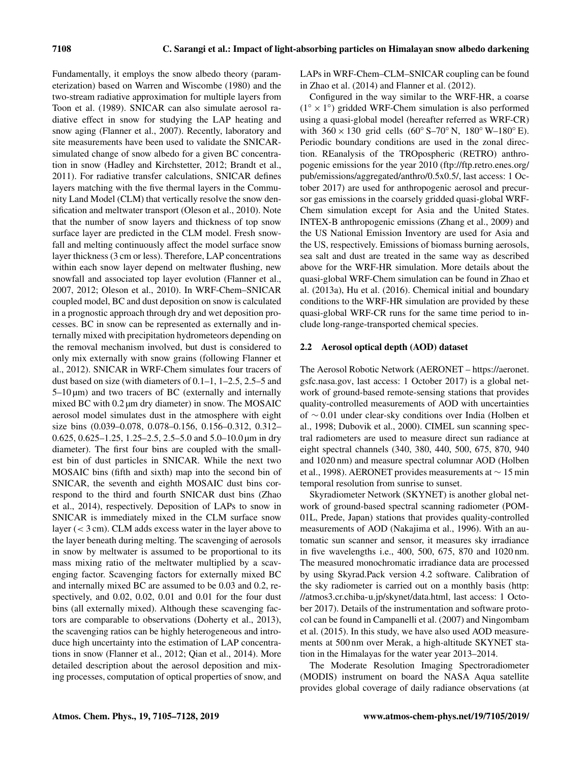Fundamentally, it employs the snow albedo theory (parameterization) based on Warren and Wiscombe (1980) and the two-stream radiative approximation for multiple layers from Toon et al. (1989). SNICAR can also simulate aerosol radiative effect in snow for studying the LAP heating and snow aging (Flanner et al., 2007). Recently, laboratory and site measurements have been used to validate the SNICARsimulated change of snow albedo for a given BC concentration in snow (Hadley and Kirchstetter, 2012; Brandt et al., 2011). For radiative transfer calculations, SNICAR defines layers matching with the five thermal layers in the Community Land Model (CLM) that vertically resolve the snow densification and meltwater transport (Oleson et al., 2010). Note that the number of snow layers and thickness of top snow surface layer are predicted in the CLM model. Fresh snowfall and melting continuously affect the model surface snow layer thickness (3 cm or less). Therefore, LAP concentrations within each snow layer depend on meltwater flushing, new snowfall and associated top layer evolution (Flanner et al., 2007, 2012; Oleson et al., 2010). In WRF-Chem–SNICAR coupled model, BC and dust deposition on snow is calculated in a prognostic approach through dry and wet deposition processes. BC in snow can be represented as externally and internally mixed with precipitation hydrometeors depending on the removal mechanism involved, but dust is considered to only mix externally with snow grains (following Flanner et al., 2012). SNICAR in WRF-Chem simulates four tracers of dust based on size (with diameters of 0.1–1, 1–2.5, 2.5–5 and  $5-10 \,\mu m$ ) and two tracers of BC (externally and internally mixed BC with 0.2 µm dry diameter) in snow. The MOSAIC aerosol model simulates dust in the atmosphere with eight size bins (0.039–0.078, 0.078–0.156, 0.156–0.312, 0.312– 0.625, 0.625–1.25, 1.25–2.5, 2.5–5.0 and 5.0–10.0 µm in dry diameter). The first four bins are coupled with the smallest bin of dust particles in SNICAR. While the next two MOSAIC bins (fifth and sixth) map into the second bin of SNICAR, the seventh and eighth MOSAIC dust bins correspond to the third and fourth SNICAR dust bins (Zhao et al., 2014), respectively. Deposition of LAPs to snow in SNICAR is immediately mixed in the CLM surface snow layer (< 3 cm). CLM adds excess water in the layer above to the layer beneath during melting. The scavenging of aerosols in snow by meltwater is assumed to be proportional to its mass mixing ratio of the meltwater multiplied by a scavenging factor. Scavenging factors for externally mixed BC and internally mixed BC are assumed to be 0.03 and 0.2, respectively, and 0.02, 0.02, 0.01 and 0.01 for the four dust bins (all externally mixed). Although these scavenging factors are comparable to observations (Doherty et al., 2013), the scavenging ratios can be highly heterogeneous and introduce high uncertainty into the estimation of LAP concentrations in snow (Flanner et al., 2012; Qian et al., 2014). More detailed description about the aerosol deposition and mixing processes, computation of optical properties of snow, and LAPs in WRF-Chem–CLM–SNICAR coupling can be found in Zhao et al. (2014) and Flanner et al. (2012).

Configured in the way similar to the WRF-HR, a coarse (1◦ × 1 ◦ ) gridded WRF-Chem simulation is also performed using a quasi-global model (hereafter referred as WRF-CR) with  $360 \times 130$  grid cells  $(60° S-70° N, 180° W-180° E)$ . Periodic boundary conditions are used in the zonal direction. REanalysis of the TROpospheric (RETRO) anthropogenic emissions for the year 2010 (ftp://ftp.retro.enes.org/ pub/emissions/aggregated/anthro/0.5x0.5/, last access: 1 October 2017) are used for anthropogenic aerosol and precursor gas emissions in the coarsely gridded quasi-global WRF-Chem simulation except for Asia and the United States. INTEX-B anthropogenic emissions (Zhang et al., 2009) and the US National Emission Inventory are used for Asia and the US, respectively. Emissions of biomass burning aerosols, sea salt and dust are treated in the same way as described above for the WRF-HR simulation. More details about the quasi-global WRF-Chem simulation can be found in Zhao et al. (2013a), Hu et al. (2016). Chemical initial and boundary conditions to the WRF-HR simulation are provided by these quasi-global WRF-CR runs for the same time period to include long-range-transported chemical species.

## 2.2 Aerosol optical depth (AOD) dataset

The Aerosol Robotic Network (AERONET – https://aeronet. gsfc.nasa.gov, last access: 1 October 2017) is a global network of ground-based remote-sensing stations that provides quality-controlled measurements of AOD with uncertainties of ∼ 0.01 under clear-sky conditions over India (Holben et al., 1998; Dubovik et al., 2000). CIMEL sun scanning spectral radiometers are used to measure direct sun radiance at eight spectral channels (340, 380, 440, 500, 675, 870, 940 and 1020 nm) and measure spectral columnar AOD (Holben et al., 1998). AERONET provides measurements at ∼ 15 min temporal resolution from sunrise to sunset.

Skyradiometer Network (SKYNET) is another global network of ground-based spectral scanning radiometer (POM-01L, Prede, Japan) stations that provides quality-controlled measurements of AOD (Nakajima et al., 1996). With an automatic sun scanner and sensor, it measures sky irradiance in five wavelengths i.e., 400, 500, 675, 870 and 1020 nm. The measured monochromatic irradiance data are processed by using Skyrad.Pack version 4.2 software. Calibration of the sky radiometer is carried out on a monthly basis (http: //atmos3.cr.chiba-u.jp/skynet/data.html, last access: 1 October 2017). Details of the instrumentation and software protocol can be found in Campanelli et al. (2007) and Ningombam et al. (2015). In this study, we have also used AOD measurements at 500 nm over Merak, a high-altitude SKYNET station in the Himalayas for the water year 2013–2014.

The Moderate Resolution Imaging Spectroradiometer (MODIS) instrument on board the NASA Aqua satellite provides global coverage of daily radiance observations (at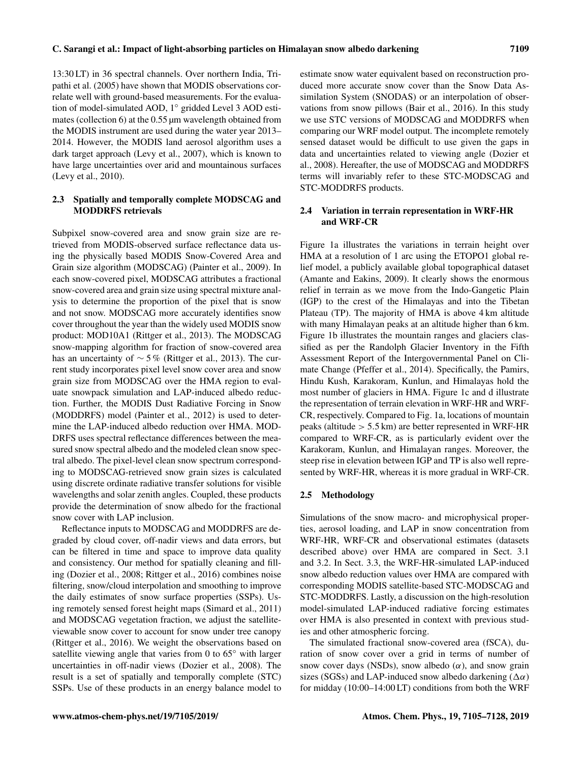13:30 LT) in 36 spectral channels. Over northern India, Tripathi et al. (2005) have shown that MODIS observations cor-

relate well with ground-based measurements. For the evaluation of model-simulated AOD, 1◦ gridded Level 3 AOD estimates (collection 6) at the 0.55 µm wavelength obtained from the MODIS instrument are used during the water year 2013– 2014. However, the MODIS land aerosol algorithm uses a dark target approach (Levy et al., 2007), which is known to have large uncertainties over arid and mountainous surfaces (Levy et al., 2010).

# 2.3 Spatially and temporally complete MODSCAG and MODDRFS retrievals

Subpixel snow-covered area and snow grain size are retrieved from MODIS-observed surface reflectance data using the physically based MODIS Snow-Covered Area and Grain size algorithm (MODSCAG) (Painter et al., 2009). In each snow-covered pixel, MODSCAG attributes a fractional snow-covered area and grain size using spectral mixture analysis to determine the proportion of the pixel that is snow and not snow. MODSCAG more accurately identifies snow cover throughout the year than the widely used MODIS snow product: MOD10A1 (Rittger et al., 2013). The MODSCAG snow-mapping algorithm for fraction of snow-covered area has an uncertainty of  $\sim$  5% (Rittger et al., 2013). The current study incorporates pixel level snow cover area and snow grain size from MODSCAG over the HMA region to evaluate snowpack simulation and LAP-induced albedo reduction. Further, the MODIS Dust Radiative Forcing in Snow (MODDRFS) model (Painter et al., 2012) is used to determine the LAP-induced albedo reduction over HMA. MOD-DRFS uses spectral reflectance differences between the measured snow spectral albedo and the modeled clean snow spectral albedo. The pixel-level clean snow spectrum corresponding to MODSCAG-retrieved snow grain sizes is calculated using discrete ordinate radiative transfer solutions for visible wavelengths and solar zenith angles. Coupled, these products provide the determination of snow albedo for the fractional snow cover with LAP inclusion.

Reflectance inputs to MODSCAG and MODDRFS are degraded by cloud cover, off-nadir views and data errors, but can be filtered in time and space to improve data quality and consistency. Our method for spatially cleaning and filling (Dozier et al., 2008; Rittger et al., 2016) combines noise filtering, snow/cloud interpolation and smoothing to improve the daily estimates of snow surface properties (SSPs). Using remotely sensed forest height maps (Simard et al., 2011) and MODSCAG vegetation fraction, we adjust the satelliteviewable snow cover to account for snow under tree canopy (Rittger et al., 2016). We weight the observations based on satellite viewing angle that varies from 0 to 65<sup>°</sup> with larger uncertainties in off-nadir views (Dozier et al., 2008). The result is a set of spatially and temporally complete (STC) SSPs. Use of these products in an energy balance model to estimate snow water equivalent based on reconstruction produced more accurate snow cover than the Snow Data Assimilation System (SNODAS) or an interpolation of observations from snow pillows (Bair et al., 2016). In this study we use STC versions of MODSCAG and MODDRFS when comparing our WRF model output. The incomplete remotely sensed dataset would be difficult to use given the gaps in data and uncertainties related to viewing angle (Dozier et al., 2008). Hereafter, the use of MODSCAG and MODDRFS terms will invariably refer to these STC-MODSCAG and STC-MODDRFS products.

# 2.4 Variation in terrain representation in WRF-HR and WRF-CR

Figure 1a illustrates the variations in terrain height over HMA at a resolution of 1 arc using the ETOPO1 global relief model, a publicly available global topographical dataset (Amante and Eakins, 2009). It clearly shows the enormous relief in terrain as we move from the Indo-Gangetic Plain (IGP) to the crest of the Himalayas and into the Tibetan Plateau (TP). The majority of HMA is above 4 km altitude with many Himalayan peaks at an altitude higher than 6 km. Figure 1b illustrates the mountain ranges and glaciers classified as per the Randolph Glacier Inventory in the Fifth Assessment Report of the Intergovernmental Panel on Climate Change (Pfeffer et al., 2014). Specifically, the Pamirs, Hindu Kush, Karakoram, Kunlun, and Himalayas hold the most number of glaciers in HMA. Figure 1c and d illustrate the representation of terrain elevation in WRF-HR and WRF-CR, respectively. Compared to Fig. 1a, locations of mountain peaks (altitude > 5.5 km) are better represented in WRF-HR compared to WRF-CR, as is particularly evident over the Karakoram, Kunlun, and Himalayan ranges. Moreover, the steep rise in elevation between IGP and TP is also well represented by WRF-HR, whereas it is more gradual in WRF-CR.

## 2.5 Methodology

Simulations of the snow macro- and microphysical properties, aerosol loading, and LAP in snow concentration from WRF-HR, WRF-CR and observational estimates (datasets described above) over HMA are compared in Sect. 3.1 and 3.2. In Sect. 3.3, the WRF-HR-simulated LAP-induced snow albedo reduction values over HMA are compared with corresponding MODIS satellite-based STC-MODSCAG and STC-MODDRFS. Lastly, a discussion on the high-resolution model-simulated LAP-induced radiative forcing estimates over HMA is also presented in context with previous studies and other atmospheric forcing.

The simulated fractional snow-covered area (fSCA), duration of snow cover over a grid in terms of number of snow cover days (NSDs), snow albedo  $(\alpha)$ , and snow grain sizes (SGSs) and LAP-induced snow albedo darkening  $(\Delta \alpha)$ for midday (10:00–14:00 LT) conditions from both the WRF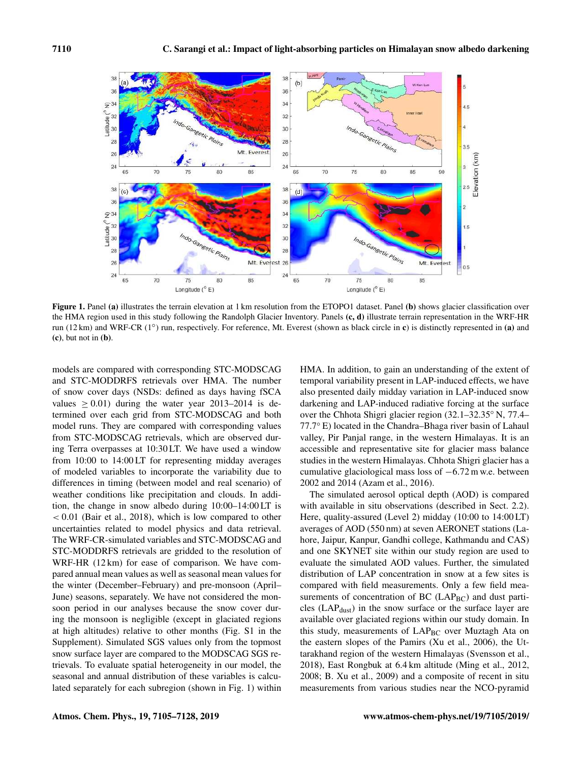

Figure 1. Panel (a) illustrates the terrain elevation at 1 km resolution from the ETOPO1 dataset. Panel (b) shows glacier classification over the HMA region used in this study following the Randolph Glacier Inventory. Panels (c, d) illustrate terrain representation in the WRF-HR run (12 km) and WRF-CR (1°) run, respectively. For reference, Mt. Everest (shown as black circle in c) is distinctly represented in (a) and  $(c)$ , but not in  $(b)$ .

models are compared with corresponding STC-MODSCAG and STC-MODDRFS retrievals over HMA. The number of snow cover days (NSDs: defined as days having fSCA values  $\geq 0.01$ ) during the water year 2013–2014 is determined over each grid from STC-MODSCAG and both model runs. They are compared with corresponding values from STC-MODSCAG retrievals, which are observed during Terra overpasses at 10:30 LT. We have used a window from 10:00 to 14:00 LT for representing midday averages of modeled variables to incorporate the variability due to differences in timing (between model and real scenario) of weather conditions like precipitation and clouds. In addition, the change in snow albedo during 10:00–14:00 LT is  $< 0.01$  (Bair et al., 2018), which is low compared to other uncertainties related to model physics and data retrieval. The WRF-CR-simulated variables and STC-MODSCAG and STC-MODDRFS retrievals are gridded to the resolution of WRF-HR (12 km) for ease of comparison. We have compared annual mean values as well as seasonal mean values for the winter (December–February) and pre-monsoon (April– June) seasons, separately. We have not considered the monsoon period in our analyses because the snow cover during the monsoon is negligible (except in glaciated regions at high altitudes) relative to other months (Fig. S1 in the Supplement). Simulated SGS values only from the topmost snow surface layer are compared to the MODSCAG SGS retrievals. To evaluate spatial heterogeneity in our model, the seasonal and annual distribution of these variables is calculated separately for each subregion (shown in Fig. 1) within HMA. In addition, to gain an understanding of the extent of temporal variability present in LAP-induced effects, we have also presented daily midday variation in LAP-induced snow darkening and LAP-induced radiative forcing at the surface over the Chhota Shigri glacier region (32.1–32.35◦ N, 77.4– 77.7◦ E) located in the Chandra–Bhaga river basin of Lahaul valley, Pir Panjal range, in the western Himalayas. It is an accessible and representative site for glacier mass balance studies in the western Himalayas. Chhota Shigri glacier has a cumulative glaciological mass loss of −6.72 m w.e. between 2002 and 2014 (Azam et al., 2016).

The simulated aerosol optical depth (AOD) is compared with available in situ observations (described in Sect. 2.2). Here, quality-assured (Level 2) midday (10:00 to 14:00 LT) averages of AOD (550 nm) at seven AERONET stations (Lahore, Jaipur, Kanpur, Gandhi college, Kathmandu and CAS) and one SKYNET site within our study region are used to evaluate the simulated AOD values. Further, the simulated distribution of LAP concentration in snow at a few sites is compared with field measurements. Only a few field measurements of concentration of BC  $(LAP_{BC})$  and dust particles (LAPdust) in the snow surface or the surface layer are available over glaciated regions within our study domain. In this study, measurements of LAP<sub>BC</sub> over Muztagh Ata on the eastern slopes of the Pamirs (Xu et al., 2006), the Uttarakhand region of the western Himalayas (Svensson et al., 2018), East Rongbuk at 6.4 km altitude (Ming et al., 2012, 2008; B. Xu et al., 2009) and a composite of recent in situ measurements from various studies near the NCO-pyramid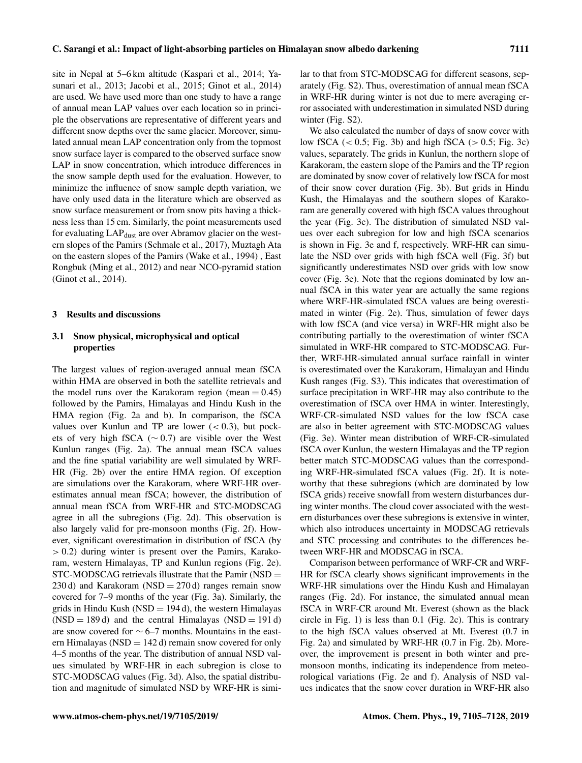site in Nepal at 5–6 km altitude (Kaspari et al., 2014; Yasunari et al., 2013; Jacobi et al., 2015; Ginot et al., 2014) are used. We have used more than one study to have a range of annual mean LAP values over each location so in principle the observations are representative of different years and different snow depths over the same glacier. Moreover, simulated annual mean LAP concentration only from the topmost snow surface layer is compared to the observed surface snow LAP in snow concentration, which introduce differences in the snow sample depth used for the evaluation. However, to minimize the influence of snow sample depth variation, we have only used data in the literature which are observed as snow surface measurement or from snow pits having a thickness less than 15 cm. Similarly, the point measurements used for evaluating LAP<sub>dust</sub> are over Abramov glacier on the western slopes of the Pamirs (Schmale et al., 2017), Muztagh Ata on the eastern slopes of the Pamirs (Wake et al., 1994) , East Rongbuk (Ming et al., 2012) and near NCO-pyramid station (Ginot et al., 2014).

## 3 Results and discussions

# 3.1 Snow physical, microphysical and optical properties

The largest values of region-averaged annual mean fSCA within HMA are observed in both the satellite retrievals and the model runs over the Karakoram region (mean  $= 0.45$ ) followed by the Pamirs, Himalayas and Hindu Kush in the HMA region (Fig. 2a and b). In comparison, the fSCA values over Kunlun and TP are lower  $(< 0.3)$ , but pockets of very high fSCA (∼ 0.7) are visible over the West Kunlun ranges (Fig. 2a). The annual mean fSCA values and the fine spatial variability are well simulated by WRF-HR (Fig. 2b) over the entire HMA region. Of exception are simulations over the Karakoram, where WRF-HR overestimates annual mean fSCA; however, the distribution of annual mean fSCA from WRF-HR and STC-MODSCAG agree in all the subregions (Fig. 2d). This observation is also largely valid for pre-monsoon months (Fig. 2f). However, significant overestimation in distribution of fSCA (by  $> 0.2$ ) during winter is present over the Pamirs, Karakoram, western Himalayas, TP and Kunlun regions (Fig. 2e). STC-MODSCAG retrievals illustrate that the Pamir (NSD = 230 d) and Karakoram (NSD = 270 d) ranges remain snow covered for 7–9 months of the year (Fig. 3a). Similarly, the grids in Hindu Kush (NSD =  $194 d$ ), the western Himalayas  $(NSD = 189 d)$  and the central Himalayas  $(NSD = 191 d)$ are snow covered for ∼ 6–7 months. Mountains in the eastern Himalayas (NSD =  $142 d$ ) remain snow covered for only 4–5 months of the year. The distribution of annual NSD values simulated by WRF-HR in each subregion is close to STC-MODSCAG values (Fig. 3d). Also, the spatial distribution and magnitude of simulated NSD by WRF-HR is similar to that from STC-MODSCAG for different seasons, separately (Fig. S2). Thus, overestimation of annual mean fSCA in WRF-HR during winter is not due to mere averaging error associated with underestimation in simulated NSD during winter (Fig. S2).

We also calculated the number of days of snow cover with low fSCA  $( $0.5$ ; Fig. 3b) and high fSCA  $(>0.5)$ ; Fig. 3c)$ values, separately. The grids in Kunlun, the northern slope of Karakoram, the eastern slope of the Pamirs and the TP region are dominated by snow cover of relatively low fSCA for most of their snow cover duration (Fig. 3b). But grids in Hindu Kush, the Himalayas and the southern slopes of Karakoram are generally covered with high fSCA values throughout the year (Fig. 3c). The distribution of simulated NSD values over each subregion for low and high fSCA scenarios is shown in Fig. 3e and f, respectively. WRF-HR can simulate the NSD over grids with high fSCA well (Fig. 3f) but significantly underestimates NSD over grids with low snow cover (Fig. 3e). Note that the regions dominated by low annual fSCA in this water year are actually the same regions where WRF-HR-simulated fSCA values are being overestimated in winter (Fig. 2e). Thus, simulation of fewer days with low fSCA (and vice versa) in WRF-HR might also be contributing partially to the overestimation of winter fSCA simulated in WRF-HR compared to STC-MODSCAG. Further, WRF-HR-simulated annual surface rainfall in winter is overestimated over the Karakoram, Himalayan and Hindu Kush ranges (Fig. S3). This indicates that overestimation of surface precipitation in WRF-HR may also contribute to the overestimation of fSCA over HMA in winter. Interestingly, WRF-CR-simulated NSD values for the low fSCA case are also in better agreement with STC-MODSCAG values (Fig. 3e). Winter mean distribution of WRF-CR-simulated fSCA over Kunlun, the western Himalayas and the TP region better match STC-MODSCAG values than the corresponding WRF-HR-simulated fSCA values (Fig. 2f). It is noteworthy that these subregions (which are dominated by low fSCA grids) receive snowfall from western disturbances during winter months. The cloud cover associated with the western disturbances over these subregions is extensive in winter, which also introduces uncertainty in MODSCAG retrievals and STC processing and contributes to the differences between WRF-HR and MODSCAG in fSCA.

Comparison between performance of WRF-CR and WRF-HR for fSCA clearly shows significant improvements in the WRF-HR simulations over the Hindu Kush and Himalayan ranges (Fig. 2d). For instance, the simulated annual mean fSCA in WRF-CR around Mt. Everest (shown as the black circle in Fig. 1) is less than 0.1 (Fig. 2c). This is contrary to the high fSCA values observed at Mt. Everest (0.7 in Fig. 2a) and simulated by WRF-HR (0.7 in Fig. 2b). Moreover, the improvement is present in both winter and premonsoon months, indicating its independence from meteorological variations (Fig. 2e and f). Analysis of NSD values indicates that the snow cover duration in WRF-HR also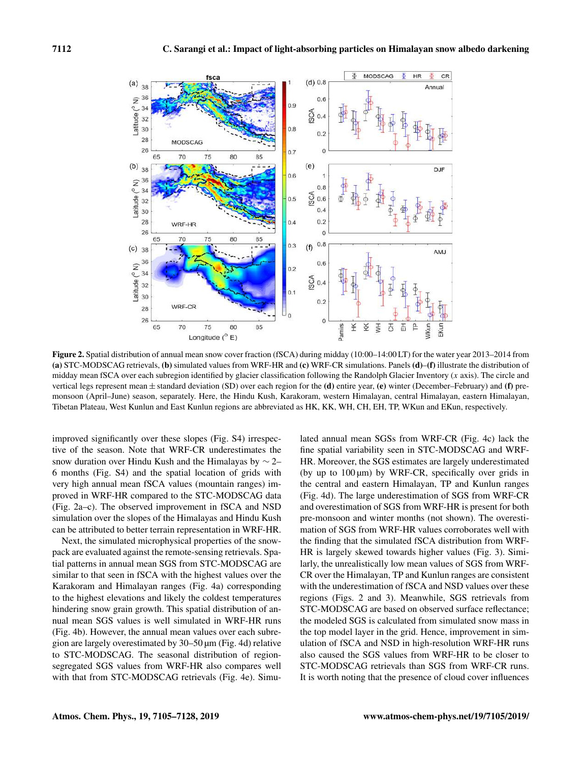

Figure 2. Spatial distribution of annual mean snow cover fraction (fSCA) during midday (10:00–14:00 LT) for the water year 2013–2014 from (a) STC-MODSCAG retrievals, (b) simulated values from WRF-HR and (c) WRF-CR simulations. Panels (d)–(f) illustrate the distribution of midday mean fSCA over each subregion identified by glacier classification following the Randolph Glacier Inventory  $(x \text{ axis})$ . The circle and vertical legs represent mean  $\pm$  standard deviation (SD) over each region for the (d) entire year, (e) winter (December–February) and (f) premonsoon (April–June) season, separately. Here, the Hindu Kush, Karakoram, western Himalayan, central Himalayan, eastern Himalayan, Tibetan Plateau, West Kunlun and East Kunlun regions are abbreviated as HK, KK, WH, CH, EH, TP, WKun and EKun, respectively.

improved significantly over these slopes (Fig. S4) irrespective of the season. Note that WRF-CR underestimates the snow duration over Hindu Kush and the Himalayas by ∼ 2– 6 months (Fig. S4) and the spatial location of grids with very high annual mean fSCA values (mountain ranges) improved in WRF-HR compared to the STC-MODSCAG data (Fig. 2a–c). The observed improvement in fSCA and NSD simulation over the slopes of the Himalayas and Hindu Kush can be attributed to better terrain representation in WRF-HR.

Next, the simulated microphysical properties of the snowpack are evaluated against the remote-sensing retrievals. Spatial patterns in annual mean SGS from STC-MODSCAG are similar to that seen in fSCA with the highest values over the Karakoram and Himalayan ranges (Fig. 4a) corresponding to the highest elevations and likely the coldest temperatures hindering snow grain growth. This spatial distribution of annual mean SGS values is well simulated in WRF-HR runs (Fig. 4b). However, the annual mean values over each subregion are largely overestimated by 30–50 µm (Fig. 4d) relative to STC-MODSCAG. The seasonal distribution of regionsegregated SGS values from WRF-HR also compares well with that from STC-MODSCAG retrievals (Fig. 4e). Simu-

lated annual mean SGSs from WRF-CR (Fig. 4c) lack the fine spatial variability seen in STC-MODSCAG and WRF-HR. Moreover, the SGS estimates are largely underestimated (by up to  $100 \mu m$ ) by WRF-CR, specifically over grids in the central and eastern Himalayan, TP and Kunlun ranges (Fig. 4d). The large underestimation of SGS from WRF-CR and overestimation of SGS from WRF-HR is present for both pre-monsoon and winter months (not shown). The overestimation of SGS from WRF-HR values corroborates well with the finding that the simulated fSCA distribution from WRF-HR is largely skewed towards higher values (Fig. 3). Similarly, the unrealistically low mean values of SGS from WRF-CR over the Himalayan, TP and Kunlun ranges are consistent with the underestimation of fSCA and NSD values over these regions (Figs. 2 and 3). Meanwhile, SGS retrievals from STC-MODSCAG are based on observed surface reflectance; the modeled SGS is calculated from simulated snow mass in the top model layer in the grid. Hence, improvement in simulation of fSCA and NSD in high-resolution WRF-HR runs also caused the SGS values from WRF-HR to be closer to STC-MODSCAG retrievals than SGS from WRF-CR runs. It is worth noting that the presence of cloud cover influences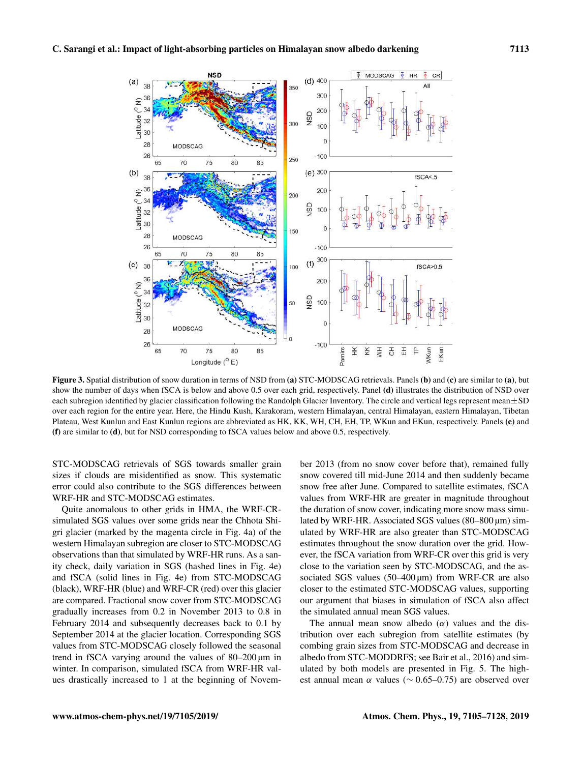

Figure 3. Spatial distribution of snow duration in terms of NSD from (a) STC-MODSCAG retrievals. Panels (b) and (c) are similar to (a), but show the number of days when fSCA is below and above 0.5 over each grid, respectively. Panel (d) illustrates the distribution of NSD over each subregion identified by glacier classification following the Randolph Glacier Inventory. The circle and vertical legs represent mean $\pm$ SD over each region for the entire year. Here, the Hindu Kush, Karakoram, western Himalayan, central Himalayan, eastern Himalayan, Tibetan Plateau, West Kunlun and East Kunlun regions are abbreviated as HK, KK, WH, CH, EH, TP, WKun and EKun, respectively. Panels (e) and (f) are similar to (d), but for NSD corresponding to fSCA values below and above 0.5, respectively.

STC-MODSCAG retrievals of SGS towards smaller grain sizes if clouds are misidentified as snow. This systematic error could also contribute to the SGS differences between WRF-HR and STC-MODSCAG estimates.

Quite anomalous to other grids in HMA, the WRF-CRsimulated SGS values over some grids near the Chhota Shigri glacier (marked by the magenta circle in Fig. 4a) of the western Himalayan subregion are closer to STC-MODSCAG observations than that simulated by WRF-HR runs. As a sanity check, daily variation in SGS (hashed lines in Fig. 4e) and fSCA (solid lines in Fig. 4e) from STC-MODSCAG (black), WRF-HR (blue) and WRF-CR (red) over this glacier are compared. Fractional snow cover from STC-MODSCAG gradually increases from 0.2 in November 2013 to 0.8 in February 2014 and subsequently decreases back to 0.1 by September 2014 at the glacier location. Corresponding SGS values from STC-MODSCAG closely followed the seasonal trend in fSCA varying around the values of 80–200 µm in winter. In comparison, simulated fSCA from WRF-HR values drastically increased to 1 at the beginning of November 2013 (from no snow cover before that), remained fully snow covered till mid-June 2014 and then suddenly became snow free after June. Compared to satellite estimates, fSCA values from WRF-HR are greater in magnitude throughout the duration of snow cover, indicating more snow mass simulated by WRF-HR. Associated SGS values (80–800 µm) simulated by WRF-HR are also greater than STC-MODSCAG estimates throughout the snow duration over the grid. However, the fSCA variation from WRF-CR over this grid is very close to the variation seen by STC-MODSCAG, and the associated SGS values (50–400 µm) from WRF-CR are also closer to the estimated STC-MODSCAG values, supporting our argument that biases in simulation of fSCA also affect the simulated annual mean SGS values.

The annual mean snow albedo  $(\alpha)$  values and the distribution over each subregion from satellite estimates (by combing grain sizes from STC-MODSCAG and decrease in albedo from STC-MODDRFS; see Bair et al., 2016) and simulated by both models are presented in Fig. 5. The highest annual mean  $\alpha$  values ( $\sim$  0.65–0.75) are observed over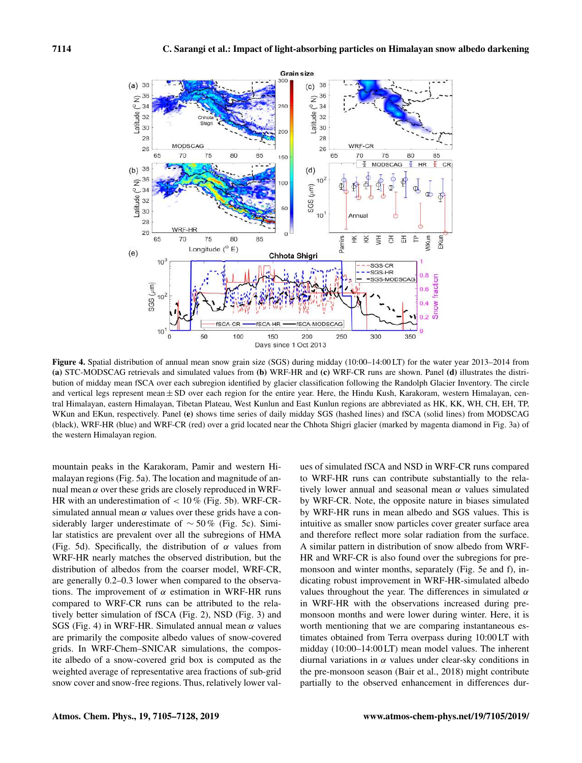

Figure 4. Spatial distribution of annual mean snow grain size (SGS) during midday (10:00–14:00 LT) for the water year 2013–2014 from (a) STC-MODSCAG retrievals and simulated values from (b) WRF-HR and (c) WRF-CR runs are shown. Panel (d) illustrates the distribution of midday mean fSCA over each subregion identified by glacier classification following the Randolph Glacier Inventory. The circle and vertical legs represent mean  $\pm$  SD over each region for the entire year. Here, the Hindu Kush, Karakoram, western Himalayan, central Himalayan, eastern Himalayan, Tibetan Plateau, West Kunlun and East Kunlun regions are abbreviated as HK, KK, WH, CH, EH, TP, WKun and EKun, respectively. Panel (e) shows time series of daily midday SGS (hashed lines) and fSCA (solid lines) from MODSCAG (black), WRF-HR (blue) and WRF-CR (red) over a grid located near the Chhota Shigri glacier (marked by magenta diamond in Fig. 3a) of the western Himalayan region.

mountain peaks in the Karakoram, Pamir and western Himalayan regions (Fig. 5a). The location and magnitude of annual mean  $\alpha$  over these grids are closely reproduced in WRF-HR with an underestimation of  $< 10\%$  (Fig. 5b). WRF-CRsimulated annual mean  $\alpha$  values over these grids have a considerably larger underestimate of  $\sim$  50 % (Fig. 5c). Similar statistics are prevalent over all the subregions of HMA (Fig. 5d). Specifically, the distribution of  $\alpha$  values from WRF-HR nearly matches the observed distribution, but the distribution of albedos from the coarser model, WRF-CR, are generally 0.2–0.3 lower when compared to the observations. The improvement of  $\alpha$  estimation in WRF-HR runs compared to WRF-CR runs can be attributed to the relatively better simulation of fSCA (Fig. 2), NSD (Fig. 3) and SGS (Fig. 4) in WRF-HR. Simulated annual mean  $\alpha$  values are primarily the composite albedo values of snow-covered grids. In WRF-Chem–SNICAR simulations, the composite albedo of a snow-covered grid box is computed as the weighted average of representative area fractions of sub-grid snow cover and snow-free regions. Thus, relatively lower values of simulated fSCA and NSD in WRF-CR runs compared to WRF-HR runs can contribute substantially to the relatively lower annual and seasonal mean  $\alpha$  values simulated by WRF-CR. Note, the opposite nature in biases simulated by WRF-HR runs in mean albedo and SGS values. This is intuitive as smaller snow particles cover greater surface area and therefore reflect more solar radiation from the surface. A similar pattern in distribution of snow albedo from WRF-HR and WRF-CR is also found over the subregions for premonsoon and winter months, separately (Fig. 5e and f), indicating robust improvement in WRF-HR-simulated albedo values throughout the year. The differences in simulated  $\alpha$ in WRF-HR with the observations increased during premonsoon months and were lower during winter. Here, it is worth mentioning that we are comparing instantaneous estimates obtained from Terra overpass during 10:00 LT with midday (10:00–14:00 LT) mean model values. The inherent diurnal variations in  $\alpha$  values under clear-sky conditions in the pre-monsoon season (Bair et al., 2018) might contribute partially to the observed enhancement in differences dur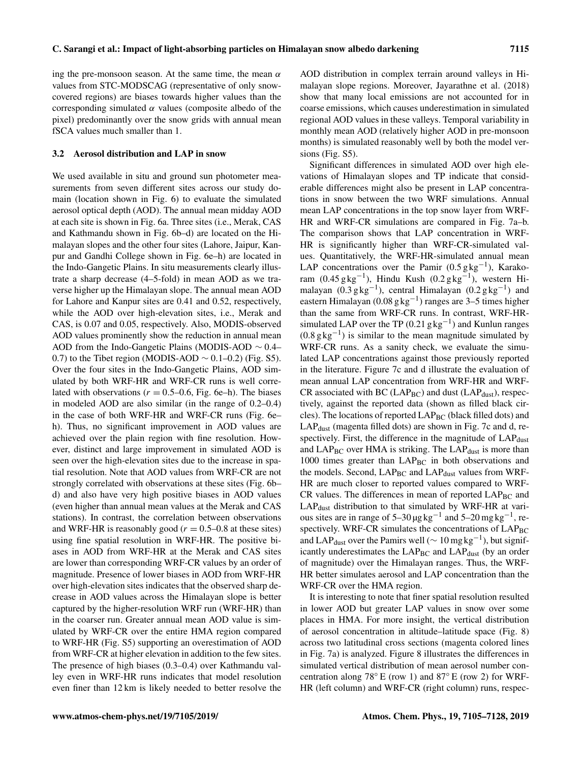ing the pre-monsoon season. At the same time, the mean  $\alpha$ values from STC-MODSCAG (representative of only snowcovered regions) are biases towards higher values than the corresponding simulated  $\alpha$  values (composite albedo of the pixel) predominantly over the snow grids with annual mean fSCA values much smaller than 1.

### 3.2 Aerosol distribution and LAP in snow

We used available in situ and ground sun photometer measurements from seven different sites across our study domain (location shown in Fig. 6) to evaluate the simulated aerosol optical depth (AOD). The annual mean midday AOD at each site is shown in Fig. 6a. Three sites (i.e., Merak, CAS and Kathmandu shown in Fig. 6b–d) are located on the Himalayan slopes and the other four sites (Lahore, Jaipur, Kanpur and Gandhi College shown in Fig. 6e–h) are located in the Indo-Gangetic Plains. In situ measurements clearly illustrate a sharp decrease (4–5-fold) in mean AOD as we traverse higher up the Himalayan slope. The annual mean AOD for Lahore and Kanpur sites are 0.41 and 0.52, respectively, while the AOD over high-elevation sites, i.e., Merak and CAS, is 0.07 and 0.05, respectively. Also, MODIS-observed AOD values prominently show the reduction in annual mean AOD from the Indo-Gangetic Plains (MODIS-AOD ∼ 0.4– 0.7) to the Tibet region (MODIS-AOD  $\sim$  0.1–0.2) (Fig. S5). Over the four sites in the Indo-Gangetic Plains, AOD simulated by both WRF-HR and WRF-CR runs is well correlated with observations ( $r = 0.5{\text -}0.6$ , Fig. 6e–h). The biases in modeled AOD are also similar (in the range of 0.2–0.4) in the case of both WRF-HR and WRF-CR runs (Fig. 6e– h). Thus, no significant improvement in AOD values are achieved over the plain region with fine resolution. However, distinct and large improvement in simulated AOD is seen over the high-elevation sites due to the increase in spatial resolution. Note that AOD values from WRF-CR are not strongly correlated with observations at these sites (Fig. 6b– d) and also have very high positive biases in AOD values (even higher than annual mean values at the Merak and CAS stations). In contrast, the correlation between observations and WRF-HR is reasonably good ( $r = 0.5{\text -}0.8$  at these sites) using fine spatial resolution in WRF-HR. The positive biases in AOD from WRF-HR at the Merak and CAS sites are lower than corresponding WRF-CR values by an order of magnitude. Presence of lower biases in AOD from WRF-HR over high-elevation sites indicates that the observed sharp decrease in AOD values across the Himalayan slope is better captured by the higher-resolution WRF run (WRF-HR) than in the coarser run. Greater annual mean AOD value is simulated by WRF-CR over the entire HMA region compared to WRF-HR (Fig. S5) supporting an overestimation of AOD from WRF-CR at higher elevation in addition to the few sites. The presence of high biases (0.3–0.4) over Kathmandu valley even in WRF-HR runs indicates that model resolution even finer than 12 km is likely needed to better resolve the AOD distribution in complex terrain around valleys in Himalayan slope regions. Moreover, Jayarathne et al. (2018) show that many local emissions are not accounted for in coarse emissions, which causes underestimation in simulated regional AOD values in these valleys. Temporal variability in monthly mean AOD (relatively higher AOD in pre-monsoon months) is simulated reasonably well by both the model versions (Fig. S5).

Significant differences in simulated AOD over high elevations of Himalayan slopes and TP indicate that considerable differences might also be present in LAP concentrations in snow between the two WRF simulations. Annual mean LAP concentrations in the top snow layer from WRF-HR and WRF-CR simulations are compared in Fig. 7a–b. The comparison shows that LAP concentration in WRF-HR is significantly higher than WRF-CR-simulated values. Quantitatively, the WRF-HR-simulated annual mean LAP concentrations over the Pamir  $(0.5 \text{ g kg}^{-1})$ , Karakoram  $(0.45 \text{ g kg}^{-1})$ , Hindu Kush  $(0.2 \text{ g kg}^{-1})$ , western Himalayan  $(0.3 \text{ g kg}^{-1})$ , central Himalayan  $(0.2 \text{ g kg}^{-1})$  and eastern Himalayan (0.08 g kg<sup>-1</sup>) ranges are 3-5 times higher than the same from WRF-CR runs. In contrast, WRF-HRsimulated LAP over the TP  $(0.21 \text{ gkg}^{-1})$  and Kunlun ranges  $(0.8 \text{ g kg}^{-1})$  is similar to the mean magnitude simulated by WRF-CR runs. As a sanity check, we evaluate the simulated LAP concentrations against those previously reported in the literature. Figure 7c and d illustrate the evaluation of mean annual LAP concentration from WRF-HR and WRF- $CR$  associated with BC (LAP $_{BC}$ ) and dust (LAP $_{dust}$ ), respectively, against the reported data (shown as filled black circles). The locations of reported  $\text{LAP}_{\text{BC}}$  (black filled dots) and LAP<sub>dust</sub> (magenta filled dots) are shown in Fig. 7c and d, respectively. First, the difference in the magnitude of  $\text{LAP}_{\text{dust}}$ and  $LAP_{BC}$  over HMA is striking. The  $LAP_{dust}$  is more than 1000 times greater than  $\text{LAP}_{\text{BC}}$  in both observations and the models. Second,  $LAP_{BC}$  and  $LAP_{dust}$  values from WRF-HR are much closer to reported values compared to WRF- $CR$  values. The differences in mean of reported  $LAP_{BC}$  and LAPdust distribution to that simulated by WRF-HR at various sites are in range of  $5-30 \mu g kg^{-1}$  and  $5-20 \mu g kg^{-1}$ , respectively. WRF-CR simulates the concentrations of LAPBC and LAP<sub>dust</sub> over the Pamirs well ( $\sim 10$  mg kg<sup>-1</sup>), but significantly underestimates the  $\text{LAP}_{\text{BC}}$  and  $\text{LAP}_{\text{dust}}$  (by an order of magnitude) over the Himalayan ranges. Thus, the WRF-HR better simulates aerosol and LAP concentration than the WRF-CR over the HMA region.

It is interesting to note that finer spatial resolution resulted in lower AOD but greater LAP values in snow over some places in HMA. For more insight, the vertical distribution of aerosol concentration in altitude–latitude space (Fig. 8) across two latitudinal cross sections (magenta colored lines in Fig. 7a) is analyzed. Figure 8 illustrates the differences in simulated vertical distribution of mean aerosol number concentration along  $78°$  E (row 1) and  $87°$  E (row 2) for WRF-HR (left column) and WRF-CR (right column) runs, respec-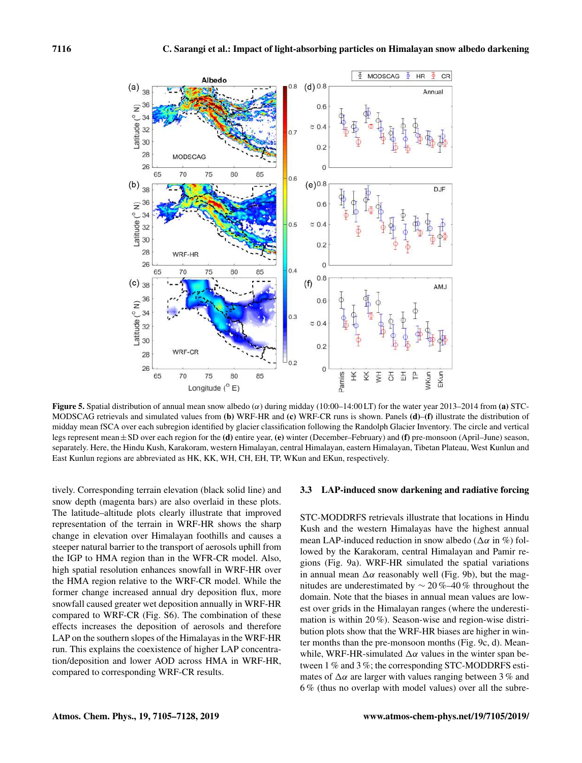

Figure 5. Spatial distribution of annual mean snow albedo ( $\alpha$ ) during midday (10:00–14:00 LT) for the water year 2013–2014 from (a) STC-MODSCAG retrievals and simulated values from (b) WRF-HR and (c) WRF-CR runs is shown. Panels (d)–(f) illustrate the distribution of midday mean fSCA over each subregion identified by glacier classification following the Randolph Glacier Inventory. The circle and vertical legs represent mean±SD over each region for the (d) entire year, (e) winter (December–February) and (f) pre-monsoon (April–June) season, separately. Here, the Hindu Kush, Karakoram, western Himalayan, central Himalayan, eastern Himalayan, Tibetan Plateau, West Kunlun and East Kunlun regions are abbreviated as HK, KK, WH, CH, EH, TP, WKun and EKun, respectively.

tively. Corresponding terrain elevation (black solid line) and snow depth (magenta bars) are also overlaid in these plots. The latitude–altitude plots clearly illustrate that improved representation of the terrain in WRF-HR shows the sharp change in elevation over Himalayan foothills and causes a steeper natural barrier to the transport of aerosols uphill from the IGP to HMA region than in the WFR-CR model. Also, high spatial resolution enhances snowfall in WRF-HR over the HMA region relative to the WRF-CR model. While the former change increased annual dry deposition flux, more snowfall caused greater wet deposition annually in WRF-HR compared to WRF-CR (Fig. S6). The combination of these effects increases the deposition of aerosols and therefore LAP on the southern slopes of the Himalayas in the WRF-HR run. This explains the coexistence of higher LAP concentration/deposition and lower AOD across HMA in WRF-HR, compared to corresponding WRF-CR results.

### 3.3 LAP-induced snow darkening and radiative forcing

STC-MODDRFS retrievals illustrate that locations in Hindu Kush and the western Himalayas have the highest annual mean LAP-induced reduction in snow albedo ( $\Delta \alpha$  in %) followed by the Karakoram, central Himalayan and Pamir regions (Fig. 9a). WRF-HR simulated the spatial variations in annual mean  $\Delta \alpha$  reasonably well (Fig. 9b), but the magnitudes are underestimated by ∼ 20 %–40 % throughout the domain. Note that the biases in annual mean values are lowest over grids in the Himalayan ranges (where the underestimation is within 20 %). Season-wise and region-wise distribution plots show that the WRF-HR biases are higher in winter months than the pre-monsoon months (Fig. 9c, d). Meanwhile, WRF-HR-simulated  $\Delta \alpha$  values in the winter span between 1 % and 3 %; the corresponding STC-MODDRFS estimates of  $\Delta \alpha$  are larger with values ranging between 3 % and 6 % (thus no overlap with model values) over all the subre-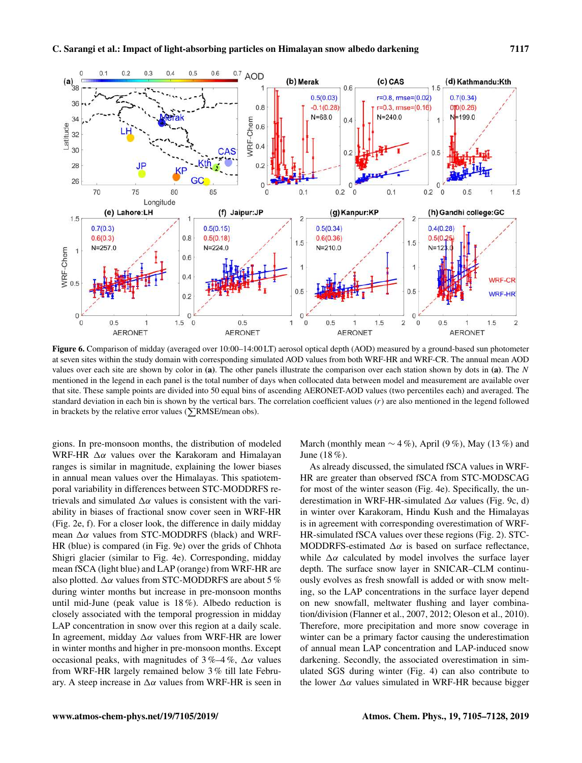

Figure 6. Comparison of midday (averaged over 10:00–14:00 LT) aerosol optical depth (AOD) measured by a ground-based sun photometer at seven sites within the study domain with corresponding simulated AOD values from both WRF-HR and WRF-CR. The annual mean AOD values over each site are shown by color in (a). The other panels illustrate the comparison over each station shown by dots in (a). The N mentioned in the legend in each panel is the total number of days when collocated data between model and measurement are available over that site. These sample points are divided into 50 equal bins of ascending AERONET-AOD values (two percentiles each) and averaged. The standard deviation in each bin is shown by the vertical bars. The correlation coefficient values  $(r)$  are also mentioned in the legend followed in brackets by the relative error values ( $\Sigma$ RMSE/mean obs).

gions. In pre-monsoon months, the distribution of modeled WRF-HR  $\Delta \alpha$  values over the Karakoram and Himalayan ranges is similar in magnitude, explaining the lower biases in annual mean values over the Himalayas. This spatiotemporal variability in differences between STC-MODDRFS retrievals and simulated  $\Delta \alpha$  values is consistent with the variability in biases of fractional snow cover seen in WRF-HR (Fig. 2e, f). For a closer look, the difference in daily midday mean  $\Delta \alpha$  values from STC-MODDRFS (black) and WRF-HR (blue) is compared (in Fig. 9e) over the grids of Chhota Shigri glacier (similar to Fig. 4e). Corresponding, midday mean fSCA (light blue) and LAP (orange) from WRF-HR are also plotted.  $\Delta \alpha$  values from STC-MODDRFS are about 5 % during winter months but increase in pre-monsoon months until mid-June (peak value is 18 %). Albedo reduction is closely associated with the temporal progression in midday LAP concentration in snow over this region at a daily scale. In agreement, midday  $\Delta \alpha$  values from WRF-HR are lower in winter months and higher in pre-monsoon months. Except occasional peaks, with magnitudes of  $3\%$ –4%,  $\Delta\alpha$  values from WRF-HR largely remained below 3 % till late February. A steep increase in  $\Delta \alpha$  values from WRF-HR is seen in March (monthly mean  $\sim$  4%), April (9%), May (13%) and June (18 %).

As already discussed, the simulated fSCA values in WRF-HR are greater than observed fSCA from STC-MODSCAG for most of the winter season (Fig. 4e). Specifically, the underestimation in WRF-HR-simulated  $\Delta \alpha$  values (Fig. 9c, d) in winter over Karakoram, Hindu Kush and the Himalayas is in agreement with corresponding overestimation of WRF-HR-simulated fSCA values over these regions (Fig. 2). STC-MODDRFS-estimated  $\Delta \alpha$  is based on surface reflectance, while  $\Delta \alpha$  calculated by model involves the surface layer depth. The surface snow layer in SNICAR–CLM continuously evolves as fresh snowfall is added or with snow melting, so the LAP concentrations in the surface layer depend on new snowfall, meltwater flushing and layer combination/division (Flanner et al., 2007, 2012; Oleson et al., 2010). Therefore, more precipitation and more snow coverage in winter can be a primary factor causing the underestimation of annual mean LAP concentration and LAP-induced snow darkening. Secondly, the associated overestimation in simulated SGS during winter (Fig. 4) can also contribute to the lower  $\Delta \alpha$  values simulated in WRF-HR because bigger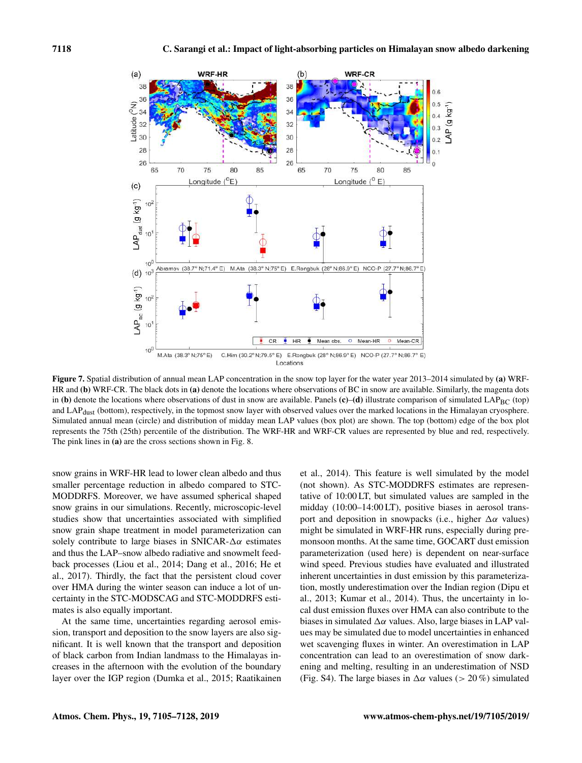

Figure 7. Spatial distribution of annual mean LAP concentration in the snow top layer for the water year 2013–2014 simulated by (a) WRF-HR and (b) WRF-CR. The black dots in (a) denote the locations where observations of BC in snow are available. Similarly, the magenta dots in (b) denote the locations where observations of dust in snow are available. Panels (c)–(d) illustrate comparison of simulated LAP<sub>BC</sub> (top) and LAP<sub>dust</sub> (bottom), respectively, in the topmost snow layer with observed values over the marked locations in the Himalayan cryosphere. Simulated annual mean (circle) and distribution of midday mean LAP values (box plot) are shown. The top (bottom) edge of the box plot represents the 75th (25th) percentile of the distribution. The WRF-HR and WRF-CR values are represented by blue and red, respectively. The pink lines in (a) are the cross sections shown in Fig. 8.

snow grains in WRF-HR lead to lower clean albedo and thus smaller percentage reduction in albedo compared to STC-MODDRFS. Moreover, we have assumed spherical shaped snow grains in our simulations. Recently, microscopic-level studies show that uncertainties associated with simplified snow grain shape treatment in model parameterization can solely contribute to large biases in SNICAR- $\Delta \alpha$  estimates and thus the LAP–snow albedo radiative and snowmelt feedback processes (Liou et al., 2014; Dang et al., 2016; He et al., 2017). Thirdly, the fact that the persistent cloud cover over HMA during the winter season can induce a lot of uncertainty in the STC-MODSCAG and STC-MODDRFS estimates is also equally important.

At the same time, uncertainties regarding aerosol emission, transport and deposition to the snow layers are also significant. It is well known that the transport and deposition of black carbon from Indian landmass to the Himalayas increases in the afternoon with the evolution of the boundary layer over the IGP region (Dumka et al., 2015; Raatikainen et al., 2014). This feature is well simulated by the model (not shown). As STC-MODDRFS estimates are representative of 10:00 LT, but simulated values are sampled in the midday (10:00–14:00 LT), positive biases in aerosol transport and deposition in snowpacks (i.e., higher  $\Delta \alpha$  values) might be simulated in WRF-HR runs, especially during premonsoon months. At the same time, GOCART dust emission parameterization (used here) is dependent on near-surface wind speed. Previous studies have evaluated and illustrated inherent uncertainties in dust emission by this parameterization, mostly underestimation over the Indian region (Dipu et al., 2013; Kumar et al., 2014). Thus, the uncertainty in local dust emission fluxes over HMA can also contribute to the biases in simulated  $\Delta \alpha$  values. Also, large biases in LAP values may be simulated due to model uncertainties in enhanced wet scavenging fluxes in winter. An overestimation in LAP concentration can lead to an overestimation of snow darkening and melting, resulting in an underestimation of NSD (Fig. S4). The large biases in  $\Delta \alpha$  values (> 20%) simulated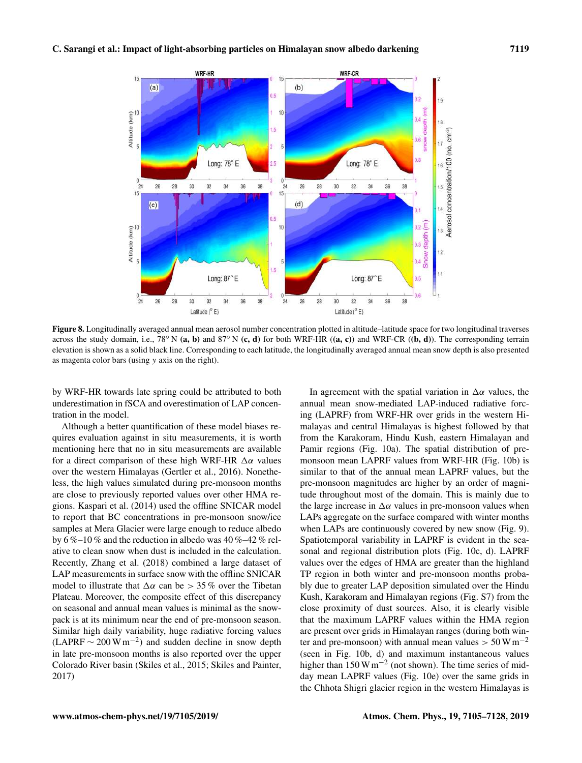

Figure 8. Longitudinally averaged annual mean aerosol number concentration plotted in altitude–latitude space for two longitudinal traverses across the study domain, i.e.,  $78°$  N (a, b) and  $87°$  N (c, d) for both WRF-HR ((a, c)) and WRF-CR ((b, d)). The corresponding terrain elevation is shown as a solid black line. Corresponding to each latitude, the longitudinally averaged annual mean snow depth is also presented as magenta color bars (using y axis on the right).

by WRF-HR towards late spring could be attributed to both underestimation in fSCA and overestimation of LAP concentration in the model.

Although a better quantification of these model biases requires evaluation against in situ measurements, it is worth mentioning here that no in situ measurements are available for a direct comparison of these high WRF-HR  $\Delta \alpha$  values over the western Himalayas (Gertler et al., 2016). Nonetheless, the high values simulated during pre-monsoon months are close to previously reported values over other HMA regions. Kaspari et al. (2014) used the offline SNICAR model to report that BC concentrations in pre-monsoon snow/ice samples at Mera Glacier were large enough to reduce albedo by 6 %–10 % and the reduction in albedo was 40 %–42 % relative to clean snow when dust is included in the calculation. Recently, Zhang et al. (2018) combined a large dataset of LAP measurements in surface snow with the offline SNICAR model to illustrate that  $\Delta \alpha$  can be  $> 35\%$  over the Tibetan Plateau. Moreover, the composite effect of this discrepancy on seasonal and annual mean values is minimal as the snowpack is at its minimum near the end of pre-monsoon season. Similar high daily variability, huge radiative forcing values  $(LAPRF \sim 200 \,\mathrm{W\,m^{-2}})$  and sudden decline in snow depth in late pre-monsoon months is also reported over the upper Colorado River basin (Skiles et al., 2015; Skiles and Painter, 2017)

In agreement with the spatial variation in  $\Delta \alpha$  values, the annual mean snow-mediated LAP-induced radiative forcing (LAPRF) from WRF-HR over grids in the western Himalayas and central Himalayas is highest followed by that from the Karakoram, Hindu Kush, eastern Himalayan and Pamir regions (Fig. 10a). The spatial distribution of premonsoon mean LAPRF values from WRF-HR (Fig. 10b) is similar to that of the annual mean LAPRF values, but the pre-monsoon magnitudes are higher by an order of magnitude throughout most of the domain. This is mainly due to the large increase in  $\Delta \alpha$  values in pre-monsoon values when LAPs aggregate on the surface compared with winter months when LAPs are continuously covered by new snow (Fig. 9). Spatiotemporal variability in LAPRF is evident in the seasonal and regional distribution plots (Fig. 10c, d). LAPRF values over the edges of HMA are greater than the highland TP region in both winter and pre-monsoon months probably due to greater LAP deposition simulated over the Hindu Kush, Karakoram and Himalayan regions (Fig. S7) from the close proximity of dust sources. Also, it is clearly visible that the maximum LAPRF values within the HMA region are present over grids in Himalayan ranges (during both winter and pre-monsoon) with annual mean values  $> 50 \,\mathrm{W\,m^{-2}}$ (seen in Fig. 10b, d) and maximum instantaneous values higher than 150 W m<sup>-2</sup> (not shown). The time series of midday mean LAPRF values (Fig. 10e) over the same grids in the Chhota Shigri glacier region in the western Himalayas is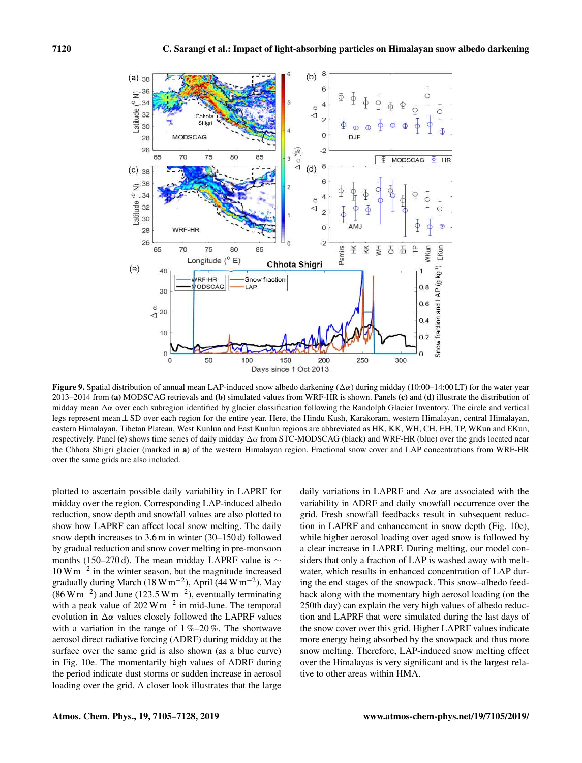

Figure 9. Spatial distribution of annual mean LAP-induced snow albedo darkening ( $\Delta \alpha$ ) during midday (10:00–14:00 LT) for the water year 2013–2014 from (a) MODSCAG retrievals and (b) simulated values from WRF-HR is shown. Panels (c) and (d) illustrate the distribution of midday mean  $\Delta\alpha$  over each subregion identified by glacier classification following the Randolph Glacier Inventory. The circle and vertical legs represent mean ± SD over each region for the entire year. Here, the Hindu Kush, Karakoram, western Himalayan, central Himalayan, eastern Himalayan, Tibetan Plateau, West Kunlun and East Kunlun regions are abbreviated as HK, KK, WH, CH, EH, TP, WKun and EKun, respectively. Panel (e) shows time series of daily midday  $\Delta \alpha$  from STC-MODSCAG (black) and WRF-HR (blue) over the grids located near the Chhota Shigri glacier (marked in a) of the western Himalayan region. Fractional snow cover and LAP concentrations from WRF-HR over the same grids are also included.

plotted to ascertain possible daily variability in LAPRF for midday over the region. Corresponding LAP-induced albedo reduction, snow depth and snowfall values are also plotted to show how LAPRF can affect local snow melting. The daily snow depth increases to 3.6 m in winter (30–150 d) followed by gradual reduction and snow cover melting in pre-monsoon months (150–270 d). The mean midday LAPRF value is ∼ 10 Wm−<sup>2</sup> in the winter season, but the magnitude increased gradually during March (18 W m<sup>-2</sup>), April (44 W m<sup>-2</sup>), May  $(86 \,\mathrm{W\,m^{-2}})$  and June (123.5 W m<sup>-2</sup>), eventually terminating with a peak value of 202 W  $\text{m}^{-2}$  in mid-June. The temporal evolution in  $\Delta \alpha$  values closely followed the LAPRF values with a variation in the range of  $1\% - 20\%$ . The shortwave aerosol direct radiative forcing (ADRF) during midday at the surface over the same grid is also shown (as a blue curve) in Fig. 10e. The momentarily high values of ADRF during the period indicate dust storms or sudden increase in aerosol loading over the grid. A closer look illustrates that the large daily variations in LAPRF and  $\Delta \alpha$  are associated with the variability in ADRF and daily snowfall occurrence over the grid. Fresh snowfall feedbacks result in subsequent reduction in LAPRF and enhancement in snow depth (Fig. 10e), while higher aerosol loading over aged snow is followed by a clear increase in LAPRF. During melting, our model considers that only a fraction of LAP is washed away with meltwater, which results in enhanced concentration of LAP during the end stages of the snowpack. This snow–albedo feedback along with the momentary high aerosol loading (on the 250th day) can explain the very high values of albedo reduction and LAPRF that were simulated during the last days of the snow cover over this grid. Higher LAPRF values indicate more energy being absorbed by the snowpack and thus more snow melting. Therefore, LAP-induced snow melting effect over the Himalayas is very significant and is the largest relative to other areas within HMA.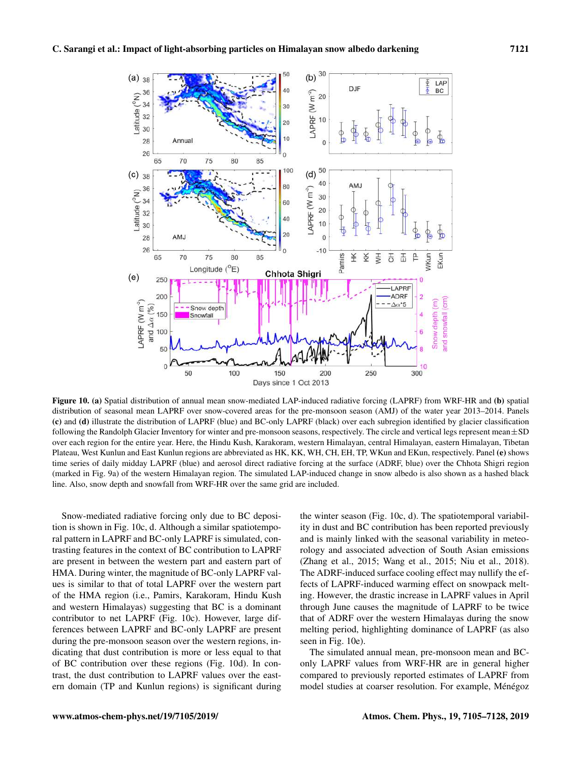

Figure 10. (a) Spatial distribution of annual mean snow-mediated LAP-induced radiative forcing (LAPRF) from WRF-HR and (b) spatial distribution of seasonal mean LAPRF over snow-covered areas for the pre-monsoon season (AMJ) of the water year 2013–2014. Panels (c) and (d) illustrate the distribution of LAPRF (blue) and BC-only LAPRF (black) over each subregion identified by glacier classification following the Randolph Glacier Inventory for winter and pre-monsoon seasons, respectively. The circle and vertical legs represent mean±SD over each region for the entire year. Here, the Hindu Kush, Karakoram, western Himalayan, central Himalayan, eastern Himalayan, Tibetan Plateau, West Kunlun and East Kunlun regions are abbreviated as HK, KK, WH, CH, EH, TP, WKun and EKun, respectively. Panel (e) shows time series of daily midday LAPRF (blue) and aerosol direct radiative forcing at the surface (ADRF, blue) over the Chhota Shigri region (marked in Fig. 9a) of the western Himalayan region. The simulated LAP-induced change in snow albedo is also shown as a hashed black line. Also, snow depth and snowfall from WRF-HR over the same grid are included.

Snow-mediated radiative forcing only due to BC deposition is shown in Fig. 10c, d. Although a similar spatiotemporal pattern in LAPRF and BC-only LAPRF is simulated, contrasting features in the context of BC contribution to LAPRF are present in between the western part and eastern part of HMA. During winter, the magnitude of BC-only LAPRF values is similar to that of total LAPRF over the western part of the HMA region (i.e., Pamirs, Karakoram, Hindu Kush and western Himalayas) suggesting that BC is a dominant contributor to net LAPRF (Fig. 10c). However, large differences between LAPRF and BC-only LAPRF are present during the pre-monsoon season over the western regions, indicating that dust contribution is more or less equal to that of BC contribution over these regions (Fig. 10d). In contrast, the dust contribution to LAPRF values over the eastern domain (TP and Kunlun regions) is significant during the winter season (Fig. 10c, d). The spatiotemporal variability in dust and BC contribution has been reported previously and is mainly linked with the seasonal variability in meteorology and associated advection of South Asian emissions (Zhang et al., 2015; Wang et al., 2015; Niu et al., 2018). The ADRF-induced surface cooling effect may nullify the effects of LAPRF-induced warming effect on snowpack melting. However, the drastic increase in LAPRF values in April through June causes the magnitude of LAPRF to be twice that of ADRF over the western Himalayas during the snow melting period, highlighting dominance of LAPRF (as also seen in Fig. 10e).

The simulated annual mean, pre-monsoon mean and BConly LAPRF values from WRF-HR are in general higher compared to previously reported estimates of LAPRF from model studies at coarser resolution. For example, Ménégoz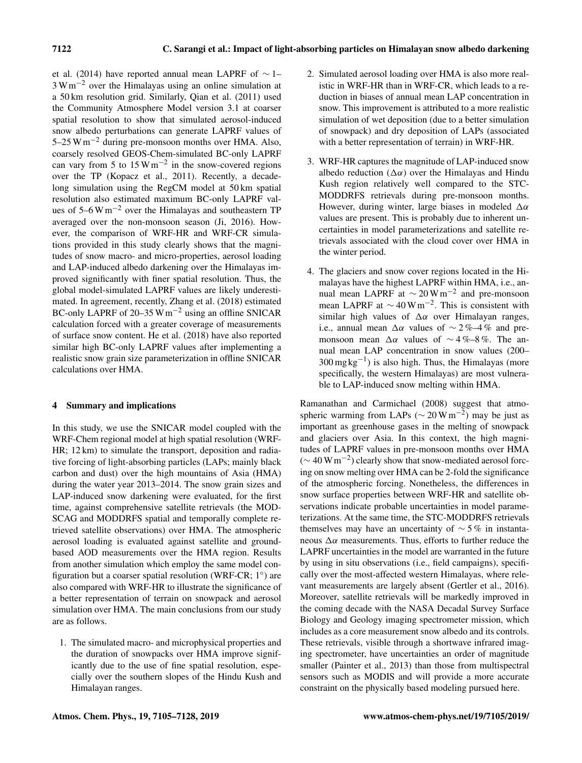et al. (2014) have reported annual mean LAPRF of ∼ 1–  $3 W m^{-2}$  over the Himalayas using an online simulation at a 50 km resolution grid. Similarly, Qian et al. (2011) used the Community Atmosphere Model version 3.1 at coarser spatial resolution to show that simulated aerosol-induced snow albedo perturbations can generate LAPRF values of 5–25 Wm−<sup>2</sup> during pre-monsoon months over HMA. Also, coarsely resolved GEOS-Chem-simulated BC-only LAPRF can vary from 5 to  $15 \,\mathrm{W\,m}^{-2}$  in the snow-covered regions over the TP (Kopacz et al., 2011). Recently, a decadelong simulation using the RegCM model at 50 km spatial resolution also estimated maximum BC-only LAPRF values of  $5-6$  W m<sup>-2</sup> over the Himalayas and southeastern TP averaged over the non-monsoon season (Ji, 2016). However, the comparison of WRF-HR and WRF-CR simulations provided in this study clearly shows that the magnitudes of snow macro- and micro-properties, aerosol loading and LAP-induced albedo darkening over the Himalayas improved significantly with finer spatial resolution. Thus, the global model-simulated LAPRF values are likely underestimated. In agreement, recently, Zhang et al. (2018) estimated BC-only LAPRF of 20–35 Wm−<sup>2</sup> using an offline SNICAR calculation forced with a greater coverage of measurements of surface snow content. He et al. (2018) have also reported similar high BC-only LAPRF values after implementing a realistic snow grain size parameterization in offline SNICAR calculations over HMA.

## 4 Summary and implications

In this study, we use the SNICAR model coupled with the WRF-Chem regional model at high spatial resolution (WRF-HR; 12 km) to simulate the transport, deposition and radiative forcing of light-absorbing particles (LAPs; mainly black carbon and dust) over the high mountains of Asia (HMA) during the water year 2013–2014. The snow grain sizes and LAP-induced snow darkening were evaluated, for the first time, against comprehensive satellite retrievals (the MOD-SCAG and MODDRFS spatial and temporally complete retrieved satellite observations) over HMA. The atmospheric aerosol loading is evaluated against satellite and groundbased AOD measurements over the HMA region. Results from another simulation which employ the same model configuration but a coarser spatial resolution (WRF-CR; 1°) are also compared with WRF-HR to illustrate the significance of a better representation of terrain on snowpack and aerosol simulation over HMA. The main conclusions from our study are as follows.

1. The simulated macro- and microphysical properties and the duration of snowpacks over HMA improve significantly due to the use of fine spatial resolution, especially over the southern slopes of the Hindu Kush and Himalayan ranges.

- 2. Simulated aerosol loading over HMA is also more realistic in WRF-HR than in WRF-CR, which leads to a reduction in biases of annual mean LAP concentration in snow. This improvement is attributed to a more realistic simulation of wet deposition (due to a better simulation of snowpack) and dry deposition of LAPs (associated with a better representation of terrain) in WRF-HR.
- 3. WRF-HR captures the magnitude of LAP-induced snow albedo reduction ( $\Delta \alpha$ ) over the Himalayas and Hindu Kush region relatively well compared to the STC-MODDRFS retrievals during pre-monsoon months. However, during winter, large biases in modeled  $\Delta \alpha$ values are present. This is probably due to inherent uncertainties in model parameterizations and satellite retrievals associated with the cloud cover over HMA in the winter period.
- 4. The glaciers and snow cover regions located in the Himalayas have the highest LAPRF within HMA, i.e., annual mean LAPRF at  $\sim 20 \,\mathrm{W\,m^{-2}}$  and pre-monsoon mean LAPRF at  $\sim 40 \,\mathrm{W m^{-2}}$ . This is consistent with similar high values of  $\Delta \alpha$  over Himalayan ranges, i.e., annual mean  $\Delta \alpha$  values of ~ 2%–4% and premonsoon mean  $\Delta \alpha$  values of ~4%–8%. The annual mean LAP concentration in snow values (200–  $300 \,\text{mg}\,\text{kg}^{-1}$ ) is also high. Thus, the Himalayas (more specifically, the western Himalayas) are most vulnerable to LAP-induced snow melting within HMA.

Ramanathan and Carmichael (2008) suggest that atmospheric warming from LAPs ( $\sim$  20 Wm<sup>-2</sup>) may be just as important as greenhouse gases in the melting of snowpack and glaciers over Asia. In this context, the high magnitudes of LAPRF values in pre-monsoon months over HMA (∼ 40 Wm−<sup>2</sup> ) clearly show that snow-mediated aerosol forcing on snow melting over HMA can be 2-fold the significance of the atmospheric forcing. Nonetheless, the differences in snow surface properties between WRF-HR and satellite observations indicate probable uncertainties in model parameterizations. At the same time, the STC-MODDRFS retrievals themselves may have an uncertainty of  $\sim$  5% in instantaneous  $Δα$  measurements. Thus, efforts to further reduce the LAPRF uncertainties in the model are warranted in the future by using in situ observations (i.e., field campaigns), specifically over the most-affected western Himalayas, where relevant measurements are largely absent (Gertler et al., 2016). Moreover, satellite retrievals will be markedly improved in the coming decade with the NASA Decadal Survey Surface Biology and Geology imaging spectrometer mission, which includes as a core measurement snow albedo and its controls. These retrievals, visible through a shortwave infrared imaging spectrometer, have uncertainties an order of magnitude smaller (Painter et al., 2013) than those from multispectral sensors such as MODIS and will provide a more accurate constraint on the physically based modeling pursued here.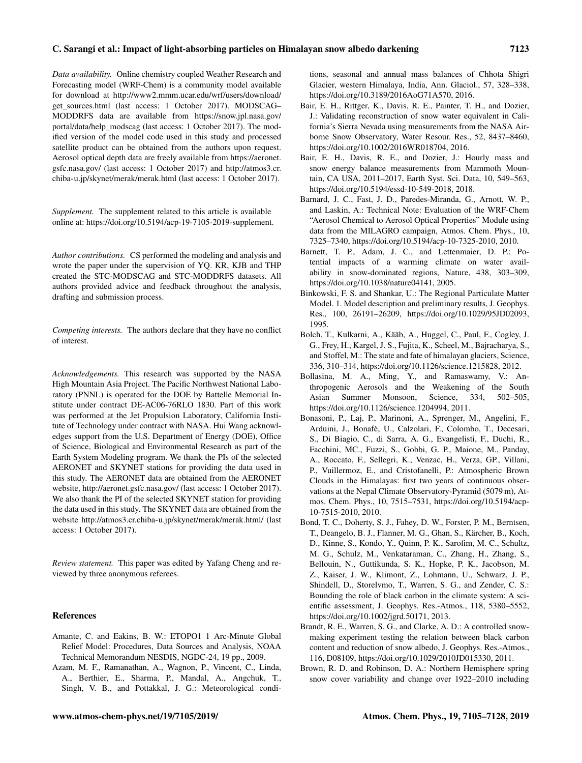#### C. Sarangi et al.: Impact of light-absorbing particles on Himalayan snow albedo darkening 7123

*Data availability.* Online chemistry coupled Weather Research and Forecasting model (WRF-Chem) is a community model available for download at http://www2.mmm.ucar.edu/wrf/users/download/ get\_sources.html (last access: 1 October 2017). MODSCAG– MODDRFS data are available from https://snow.jpl.nasa.gov/ portal/data/help\_modscag (last access: 1 October 2017). The modified version of the model code used in this study and processed satellite product can be obtained from the authors upon request. Aerosol optical depth data are freely available from https://aeronet. gsfc.nasa.gov/ (last access: 1 October 2017) and http://atmos3.cr. chiba-u.jp/skynet/merak/merak.html (last access: 1 October 2017).

*Supplement.* The supplement related to this article is available online at: https://doi.org/10.5194/acp-19-7105-2019-supplement.

*Author contributions.* CS performed the modeling and analysis and wrote the paper under the supervision of YQ. KR, KJB and THP created the STC-MODSCAG and STC-MODDRFS datasets. All authors provided advice and feedback throughout the analysis, drafting and submission process.

*Competing interests.* The authors declare that they have no conflict of interest.

*Acknowledgements.* This research was supported by the NASA High Mountain Asia Project. The Pacific Northwest National Laboratory (PNNL) is operated for the DOE by Battelle Memorial Institute under contract DE-AC06-76RLO 1830. Part of this work was performed at the Jet Propulsion Laboratory, California Institute of Technology under contract with NASA. Hui Wang acknowledges support from the U.S. Department of Energy (DOE), Office of Science, Biological and Environmental Research as part of the Earth System Modeling program. We thank the PIs of the selected AERONET and SKYNET stations for providing the data used in this study. The AERONET data are obtained from the AERONET website, http://aeronet.gsfc.nasa.gov/ (last access: 1 October 2017). We also thank the PI of the selected SKYNET station for providing the data used in this study. The SKYNET data are obtained from the website http://atmos3.cr.chiba-u.jp/skynet/merak/merak.html/ (last access: 1 October 2017).

*Review statement.* This paper was edited by Yafang Cheng and reviewed by three anonymous referees.

#### **References**

- Amante, C. and Eakins, B. W.: ETOPO1 1 Arc-Minute Global Relief Model: Procedures, Data Sources and Analysis, NOAA Technical Memorandum NESDIS, NGDC-24, 19 pp., 2009.
- Azam, M. F., Ramanathan, A., Wagnon, P., Vincent, C., Linda, A., Berthier, E., Sharma, P., Mandal, A., Angchuk, T., Singh, V. B., and Pottakkal, J. G.: Meteorological condi-

tions, seasonal and annual mass balances of Chhota Shigri Glacier, western Himalaya, India, Ann. Glaciol., 57, 328–338, https://doi.org/10.3189/2016AoG71A570, 2016.

- Bair, E. H., Rittger, K., Davis, R. E., Painter, T. H., and Dozier, J.: Validating reconstruction of snow water equivalent in California's Sierra Nevada using measurements from the NASA Airborne Snow Observatory, Water Resour. Res., 52, 8437–8460, https://doi.org/10.1002/2016WR018704, 2016.
- Bair, E. H., Davis, R. E., and Dozier, J.: Hourly mass and snow energy balance measurements from Mammoth Mountain, CA USA, 2011–2017, Earth Syst. Sci. Data, 10, 549–563, https://doi.org/10.5194/essd-10-549-2018, 2018.
- Barnard, J. C., Fast, J. D., Paredes-Miranda, G., Arnott, W. P., and Laskin, A.: Technical Note: Evaluation of the WRF-Chem "Aerosol Chemical to Aerosol Optical Properties" Module using data from the MILAGRO campaign, Atmos. Chem. Phys., 10, 7325–7340, https://doi.org/10.5194/acp-10-7325-2010, 2010.
- Barnett, T. P., Adam, J. C., and Lettenmaier, D. P.: Potential impacts of a warming climate on water availability in snow-dominated regions, Nature, 438, 303–309, https://doi.org/10.1038/nature04141, 2005.
- Binkowski, F. S. and Shankar, U.: The Regional Particulate Matter Model. 1. Model description and preliminary results, J. Geophys. Res., 100, 26191–26209, https://doi.org/10.1029/95JD02093, 1995.
- Bolch, T., Kulkarni, A., Kääb, A., Huggel, C., Paul, F., Cogley, J. G., Frey, H., Kargel, J. S., Fujita, K., Scheel, M., Bajracharya, S., and Stoffel, M.: The state and fate of himalayan glaciers, Science, 336, 310–314, https://doi.org/10.1126/science.1215828, 2012.
- Bollasina, M. A., Ming, Y., and Ramaswamy, V.: Anthropogenic Aerosols and the Weakening of the South Asian Summer Monsoon, Science, 334, 502–505, https://doi.org/10.1126/science.1204994, 2011.
- Bonasoni, P., Laj, P., Marinoni, A., Sprenger, M., Angelini, F., Arduini, J., Bonafè, U., Calzolari, F., Colombo, T., Decesari, S., Di Biagio, C., di Sarra, A. G., Evangelisti, F., Duchi, R., Facchini, MC., Fuzzi, S., Gobbi, G. P., Maione, M., Panday, A., Roccato, F., Sellegri, K., Venzac, H., Verza, GP., Villani, P., Vuillermoz, E., and Cristofanelli, P.: Atmospheric Brown Clouds in the Himalayas: first two years of continuous observations at the Nepal Climate Observatory-Pyramid (5079 m), Atmos. Chem. Phys., 10, 7515–7531, https://doi.org/10.5194/acp-10-7515-2010, 2010.
- Bond, T. C., Doherty, S. J., Fahey, D. W., Forster, P. M., Berntsen, T., Deangelo, B. J., Flanner, M. G., Ghan, S., Kärcher, B., Koch, D., Kinne, S., Kondo, Y., Quinn, P. K., Sarofim, M. C., Schultz, M. G., Schulz, M., Venkataraman, C., Zhang, H., Zhang, S., Bellouin, N., Guttikunda, S. K., Hopke, P. K., Jacobson, M. Z., Kaiser, J. W., Klimont, Z., Lohmann, U., Schwarz, J. P., Shindell, D., Storelvmo, T., Warren, S. G., and Zender, C. S.: Bounding the role of black carbon in the climate system: A scientific assessment, J. Geophys. Res.-Atmos., 118, 5380–5552, https://doi.org/10.1002/jgrd.50171, 2013.
- Brandt, R. E., Warren, S. G., and Clarke, A. D.: A controlled snowmaking experiment testing the relation between black carbon content and reduction of snow albedo, J. Geophys. Res.-Atmos., 116, D08109, https://doi.org/10.1029/2010JD015330, 2011.
- Brown, R. D. and Robinson, D. A.: Northern Hemisphere spring snow cover variability and change over 1922–2010 including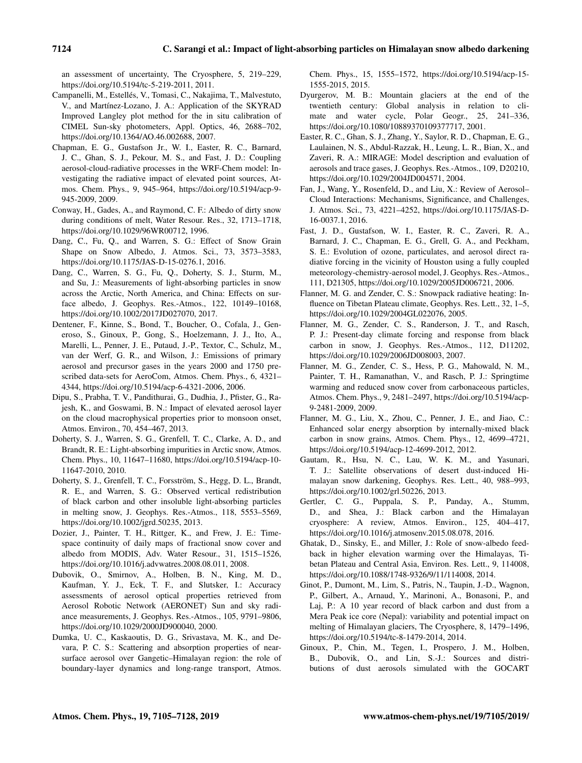an assessment of uncertainty, The Cryosphere, 5, 219–229, https://doi.org/10.5194/tc-5-219-2011, 2011.

- Campanelli, M., Estellés, V., Tomasi, C., Nakajima, T., Malvestuto, V., and Martínez-Lozano, J. A.: Application of the SKYRAD Improved Langley plot method for the in situ calibration of CIMEL Sun-sky photometers, Appl. Optics, 46, 2688–702, https://doi.org/10.1364/AO.46.002688, 2007.
- Chapman, E. G., Gustafson Jr., W. I., Easter, R. C., Barnard, J. C., Ghan, S. J., Pekour, M. S., and Fast, J. D.: Coupling aerosol-cloud-radiative processes in the WRF-Chem model: Investigating the radiative impact of elevated point sources, Atmos. Chem. Phys., 9, 945–964, https://doi.org/10.5194/acp-9- 945-2009, 2009.
- Conway, H., Gades, A., and Raymond, C. F.: Albedo of dirty snow during conditions of melt, Water Resour. Res., 32, 1713–1718, https://doi.org/10.1029/96WR00712, 1996.
- Dang, C., Fu, Q., and Warren, S. G.: Effect of Snow Grain Shape on Snow Albedo, J. Atmos. Sci., 73, 3573–3583, https://doi.org/10.1175/JAS-D-15-0276.1, 2016.
- Dang, C., Warren, S. G., Fu, Q., Doherty, S. J., Sturm, M., and Su, J.: Measurements of light-absorbing particles in snow across the Arctic, North America, and China: Effects on surface albedo, J. Geophys. Res.-Atmos., 122, 10149–10168, https://doi.org/10.1002/2017JD027070, 2017.
- Dentener, F., Kinne, S., Bond, T., Boucher, O., Cofala, J., Generoso, S., Ginoux, P., Gong, S., Hoelzemann, J. J., Ito, A., Marelli, L., Penner, J. E., Putaud, J.-P., Textor, C., Schulz, M., van der Werf, G. R., and Wilson, J.: Emissions of primary aerosol and precursor gases in the years 2000 and 1750 prescribed data-sets for AeroCom, Atmos. Chem. Phys., 6, 4321– 4344, https://doi.org/10.5194/acp-6-4321-2006, 2006.
- Dipu, S., Prabha, T. V., Pandithurai, G., Dudhia, J., Pfister, G., Rajesh, K., and Goswami, B. N.: Impact of elevated aerosol layer on the cloud macrophysical properties prior to monsoon onset, Atmos. Environ., 70, 454–467, 2013.
- Doherty, S. J., Warren, S. G., Grenfell, T. C., Clarke, A. D., and Brandt, R. E.: Light-absorbing impurities in Arctic snow, Atmos. Chem. Phys., 10, 11647–11680, https://doi.org/10.5194/acp-10- 11647-2010, 2010.
- Doherty, S. J., Grenfell, T. C., Forsström, S., Hegg, D. L., Brandt, R. E., and Warren, S. G.: Observed vertical redistribution of black carbon and other insoluble light-absorbing particles in melting snow, J. Geophys. Res.-Atmos., 118, 5553–5569, https://doi.org/10.1002/jgrd.50235, 2013.
- Dozier, J., Painter, T. H., Rittger, K., and Frew, J. E.: Timespace continuity of daily maps of fractional snow cover and albedo from MODIS, Adv. Water Resour., 31, 1515–1526, https://doi.org/10.1016/j.advwatres.2008.08.011, 2008.
- Dubovik, O., Smirnov, A., Holben, B. N., King, M. D., Kaufman, Y. J., Eck, T. F., and Slutsker, I.: Accuracy assessments of aerosol optical properties retrieved from Aerosol Robotic Network (AERONET) Sun and sky radiance measurements, J. Geophys. Res.-Atmos., 105, 9791–9806, https://doi.org/10.1029/2000JD900040, 2000.
- Dumka, U. C., Kaskaoutis, D. G., Srivastava, M. K., and Devara, P. C. S.: Scattering and absorption properties of nearsurface aerosol over Gangetic–Himalayan region: the role of boundary-layer dynamics and long-range transport, Atmos.

Chem. Phys., 15, 1555–1572, https://doi.org/10.5194/acp-15- 1555-2015, 2015.

- Dyurgerov, M. B.: Mountain glaciers at the end of the twentieth century: Global analysis in relation to climate and water cycle, Polar Geogr., 25, 241–336, https://doi.org/10.1080/10889370109377717, 2001.
- Easter, R. C., Ghan, S. J., Zhang, Y., Saylor, R. D., Chapman, E. G., Laulainen, N. S., Abdul-Razzak, H., Leung, L. R., Bian, X., and Zaveri, R. A.: MIRAGE: Model description and evaluation of aerosols and trace gases, J. Geophys. Res.-Atmos., 109, D20210, https://doi.org/10.1029/2004JD004571, 2004.
- Fan, J., Wang, Y., Rosenfeld, D., and Liu, X.: Review of Aerosol– Cloud Interactions: Mechanisms, Significance, and Challenges, J. Atmos. Sci., 73, 4221–4252, https://doi.org/10.1175/JAS-D-16-0037.1, 2016.
- Fast, J. D., Gustafson, W. I., Easter, R. C., Zaveri, R. A., Barnard, J. C., Chapman, E. G., Grell, G. A., and Peckham, S. E.: Evolution of ozone, particulates, and aerosol direct radiative forcing in the vicinity of Houston using a fully coupled meteorology-chemistry-aerosol model, J. Geophys. Res.-Atmos., 111, D21305, https://doi.org/10.1029/2005JD006721, 2006.
- Flanner, M. G. and Zender, C. S.: Snowpack radiative heating: Influence on Tibetan Plateau climate, Geophys. Res. Lett., 32, 1–5, https://doi.org/10.1029/2004GL022076, 2005.
- Flanner, M. G., Zender, C. S., Randerson, J. T., and Rasch, P. J.: Present-day climate forcing and response from black carbon in snow, J. Geophys. Res.-Atmos., 112, D11202, https://doi.org/10.1029/2006JD008003, 2007.
- Flanner, M. G., Zender, C. S., Hess, P. G., Mahowald, N. M., Painter, T. H., Ramanathan, V., and Rasch, P. J.: Springtime warming and reduced snow cover from carbonaceous particles, Atmos. Chem. Phys., 9, 2481–2497, https://doi.org/10.5194/acp-9-2481-2009, 2009.
- Flanner, M. G., Liu, X., Zhou, C., Penner, J. E., and Jiao, C.: Enhanced solar energy absorption by internally-mixed black carbon in snow grains, Atmos. Chem. Phys., 12, 4699–4721, https://doi.org/10.5194/acp-12-4699-2012, 2012.
- Gautam, R., Hsu, N. C., Lau, W. K. M., and Yasunari, T. J.: Satellite observations of desert dust-induced Himalayan snow darkening, Geophys. Res. Lett., 40, 988–993, https://doi.org/10.1002/grl.50226, 2013.
- Gertler, C. G., Puppala, S. P., Panday, A., Stumm, D., and Shea, J.: Black carbon and the Himalayan cryosphere: A review, Atmos. Environ., 125, 404–417, https://doi.org/10.1016/j.atmosenv.2015.08.078, 2016.
- Ghatak, D., Sinsky, E., and Miller, J.: Role of snow-albedo feedback in higher elevation warming over the Himalayas, Tibetan Plateau and Central Asia, Environ. Res. Lett., 9, 114008, https://doi.org/10.1088/1748-9326/9/11/114008, 2014.
- Ginot, P., Dumont, M., Lim, S., Patris, N., Taupin, J.-D., Wagnon, P., Gilbert, A., Arnaud, Y., Marinoni, A., Bonasoni, P., and Laj, P.: A 10 year record of black carbon and dust from a Mera Peak ice core (Nepal): variability and potential impact on melting of Himalayan glaciers, The Cryosphere, 8, 1479–1496, https://doi.org/10.5194/tc-8-1479-2014, 2014.
- Ginoux, P., Chin, M., Tegen, I., Prospero, J. M., Holben, B., Dubovik, O., and Lin, S.-J.: Sources and distributions of dust aerosols simulated with the GOCART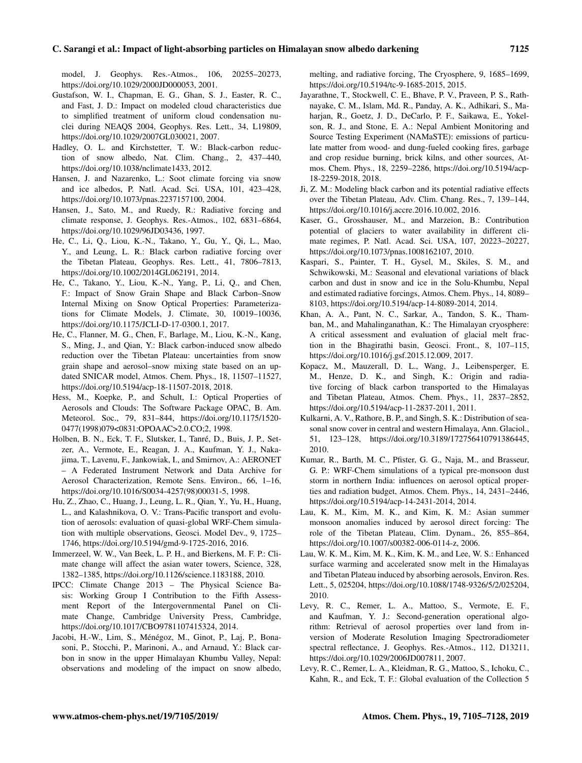#### C. Sarangi et al.: Impact of light-absorbing particles on Himalayan snow albedo darkening 7125

model, J. Geophys. Res.-Atmos., 106, 20255–20273, https://doi.org/10.1029/2000JD000053, 2001.

- Gustafson, W. I., Chapman, E. G., Ghan, S. J., Easter, R. C., and Fast, J. D.: Impact on modeled cloud characteristics due to simplified treatment of uniform cloud condensation nuclei during NEAQS 2004, Geophys. Res. Lett., 34, L19809, https://doi.org/10.1029/2007GL030021, 2007.
- Hadley, O. L. and Kirchstetter, T. W.: Black-carbon reduction of snow albedo, Nat. Clim. Chang., 2, 437–440, https://doi.org/10.1038/nclimate1433, 2012.
- Hansen, J. and Nazarenko, L.: Soot climate forcing via snow and ice albedos, P. Natl. Acad. Sci. USA, 101, 423–428, https://doi.org/10.1073/pnas.2237157100, 2004.
- Hansen, J., Sato, M., and Ruedy, R.: Radiative forcing and climate response, J. Geophys. Res.-Atmos., 102, 6831–6864, https://doi.org/10.1029/96JD03436, 1997.
- He, C., Li, Q., Liou, K.-N., Takano, Y., Gu, Y., Qi, L., Mao, Y., and Leung, L. R.: Black carbon radiative forcing over the Tibetan Plateau, Geophys. Res. Lett., 41, 7806–7813, https://doi.org/10.1002/2014GL062191, 2014.
- He, C., Takano, Y., Liou, K.-N., Yang, P., Li, Q., and Chen, F.: Impact of Snow Grain Shape and Black Carbon–Snow Internal Mixing on Snow Optical Properties: Parameterizations for Climate Models, J. Climate, 30, 10019–10036, https://doi.org/10.1175/JCLI-D-17-0300.1, 2017.
- He, C., Flanner, M. G., Chen, F., Barlage, M., Liou, K.-N., Kang, S., Ming, J., and Qian, Y.: Black carbon-induced snow albedo reduction over the Tibetan Plateau: uncertainties from snow grain shape and aerosol–snow mixing state based on an updated SNICAR model, Atmos. Chem. Phys., 18, 11507–11527, https://doi.org/10.5194/acp-18-11507-2018, 2018.
- Hess, M., Koepke, P., and Schult, I.: Optical Properties of Aerosols and Clouds: The Software Package OPAC, B. Am. Meteorol. Soc., 79, 831–844, https://doi.org/10.1175/1520- 0477(1998)079<0831:OPOAAC>2.0.CO;2, 1998.
- Holben, B. N., Eck, T. F., Slutsker, I., Tanré, D., Buis, J. P., Setzer, A., Vermote, E., Reagan, J. A., Kaufman, Y. J., Nakajima, T., Lavenu, F., Jankowiak, I., and Smirnov, A.: AERONET – A Federated Instrument Network and Data Archive for Aerosol Characterization, Remote Sens. Environ., 66, 1–16, https://doi.org/10.1016/S0034-4257(98)00031-5, 1998.
- Hu, Z., Zhao, C., Huang, J., Leung, L. R., Qian, Y., Yu, H., Huang, L., and Kalashnikova, O. V.: Trans-Pacific transport and evolution of aerosols: evaluation of quasi-global WRF-Chem simulation with multiple observations, Geosci. Model Dev., 9, 1725– 1746, https://doi.org/10.5194/gmd-9-1725-2016, 2016.
- Immerzeel, W. W., Van Beek, L. P. H., and Bierkens, M. F. P.: Climate change will affect the asian water towers, Science, 328, 1382–1385, https://doi.org/10.1126/science.1183188, 2010.
- IPCC: Climate Change 2013 The Physical Science Basis: Working Group I Contribution to the Fifth Assessment Report of the Intergovernmental Panel on Climate Change, Cambridge University Press, Cambridge, https://doi.org/10.1017/CBO9781107415324, 2014.
- Jacobi, H.-W., Lim, S., Ménégoz, M., Ginot, P., Laj, P., Bonasoni, P., Stocchi, P., Marinoni, A., and Arnaud, Y.: Black carbon in snow in the upper Himalayan Khumbu Valley, Nepal: observations and modeling of the impact on snow albedo,

melting, and radiative forcing, The Cryosphere, 9, 1685–1699, https://doi.org/10.5194/tc-9-1685-2015, 2015.

- Jayarathne, T., Stockwell, C. E., Bhave, P. V., Praveen, P. S., Rathnayake, C. M., Islam, Md. R., Panday, A. K., Adhikari, S., Maharjan, R., Goetz, J. D., DeCarlo, P. F., Saikawa, E., Yokelson, R. J., and Stone, E. A.: Nepal Ambient Monitoring and Source Testing Experiment (NAMaSTE): emissions of particulate matter from wood- and dung-fueled cooking fires, garbage and crop residue burning, brick kilns, and other sources, Atmos. Chem. Phys., 18, 2259–2286, https://doi.org/10.5194/acp-18-2259-2018, 2018.
- Ji, Z. M.: Modeling black carbon and its potential radiative effects over the Tibetan Plateau, Adv. Clim. Chang. Res., 7, 139–144, https://doi.org/10.1016/j.accre.2016.10.002, 2016.
- Kaser, G., Grosshauser, M., and Marzeion, B.: Contribution potential of glaciers to water availability in different climate regimes, P. Natl. Acad. Sci. USA, 107, 20223–20227, https://doi.org/10.1073/pnas.1008162107, 2010.
- Kaspari, S., Painter, T. H., Gysel, M., Skiles, S. M., and Schwikowski, M.: Seasonal and elevational variations of black carbon and dust in snow and ice in the Solu-Khumbu, Nepal and estimated radiative forcings, Atmos. Chem. Phys., 14, 8089– 8103, https://doi.org/10.5194/acp-14-8089-2014, 2014.
- Khan, A. A., Pant, N. C., Sarkar, A., Tandon, S. K., Thamban, M., and Mahalinganathan, K.: The Himalayan cryosphere: A critical assessment and evaluation of glacial melt fraction in the Bhagirathi basin, Geosci. Front., 8, 107–115, https://doi.org/10.1016/j.gsf.2015.12.009, 2017.
- Kopacz, M., Mauzerall, D. L., Wang, J., Leibensperger, E. M., Henze, D. K., and Singh, K.: Origin and radiative forcing of black carbon transported to the Himalayas and Tibetan Plateau, Atmos. Chem. Phys., 11, 2837–2852, https://doi.org/10.5194/acp-11-2837-2011, 2011.
- Kulkarni, A. V., Rathore, B. P., and Singh, S. K.: Distribution of seasonal snow cover in central and western Himalaya, Ann. Glaciol., 51, 123–128, https://doi.org/10.3189/172756410791386445, 2010.
- Kumar, R., Barth, M. C., Pfister, G. G., Naja, M., and Brasseur, G. P.: WRF-Chem simulations of a typical pre-monsoon dust storm in northern India: influences on aerosol optical properties and radiation budget, Atmos. Chem. Phys., 14, 2431–2446, https://doi.org/10.5194/acp-14-2431-2014, 2014.
- Lau, K. M., Kim, M. K., and Kim, K. M.: Asian summer monsoon anomalies induced by aerosol direct forcing: The role of the Tibetan Plateau, Clim. Dynam., 26, 855–864, https://doi.org/10.1007/s00382-006-0114-z, 2006.
- Lau, W. K. M., Kim, M. K., Kim, K. M., and Lee, W. S.: Enhanced surface warming and accelerated snow melt in the Himalayas and Tibetan Plateau induced by absorbing aerosols, Environ. Res. Lett., 5, 025204, https://doi.org/10.1088/1748-9326/5/2/025204, 2010.
- Levy, R. C., Remer, L. A., Mattoo, S., Vermote, E. F., and Kaufman, Y. J.: Second-generation operational algorithm: Retrieval of aerosol properties over land from inversion of Moderate Resolution Imaging Spectroradiometer spectral reflectance, J. Geophys. Res.-Atmos., 112, D13211, https://doi.org/10.1029/2006JD007811, 2007.
- Levy, R. C., Remer, L. A., Kleidman, R. G., Mattoo, S., Ichoku, C., Kahn, R., and Eck, T. F.: Global evaluation of the Collection 5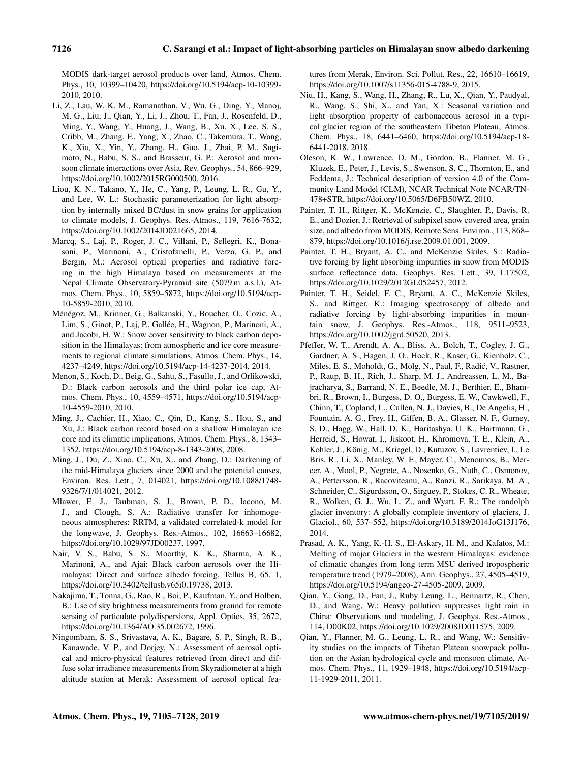MODIS dark-target aerosol products over land, Atmos. Chem. Phys., 10, 10399–10420, https://doi.org/10.5194/acp-10-10399- 2010, 2010.

- Li, Z., Lau, W. K. M., Ramanathan, V., Wu, G., Ding, Y., Manoj, M. G., Liu, J., Qian, Y., Li, J., Zhou, T., Fan, J., Rosenfeld, D., Ming, Y., Wang, Y., Huang, J., Wang, B., Xu, X., Lee, S. S., Cribb, M., Zhang, F., Yang, X., Zhao, C., Takemura, T., Wang, K., Xia, X., Yin, Y., Zhang, H., Guo, J., Zhai, P. M., Sugimoto, N., Babu, S. S., and Brasseur, G. P.: Aerosol and monsoon climate interactions over Asia, Rev. Geophys., 54, 866–929, https://doi.org/10.1002/2015RG000500, 2016.
- Liou, K. N., Takano, Y., He, C., Yang, P., Leung, L. R., Gu, Y., and Lee, W. L.: Stochastic parameterization for light absorption by internally mixed BC/dust in snow grains for application to climate models, J. Geophys. Res.-Atmos., 119, 7616-7632, https://doi.org/10.1002/2014JD021665, 2014.
- Marcq, S., Laj, P., Roger, J. C., Villani, P., Sellegri, K., Bonasoni, P., Marinoni, A., Cristofanelli, P., Verza, G. P., and Bergin, M.: Aerosol optical properties and radiative forcing in the high Himalaya based on measurements at the Nepal Climate Observatory-Pyramid site (5079 m a.s.l.), Atmos. Chem. Phys., 10, 5859–5872, https://doi.org/10.5194/acp-10-5859-2010, 2010.
- Ménégoz, M., Krinner, G., Balkanski, Y., Boucher, O., Cozic, A., Lim, S., Ginot, P., Laj, P., Gallée, H., Wagnon, P., Marinoni, A., and Jacobi, H. W.: Snow cover sensitivity to black carbon deposition in the Himalayas: from atmospheric and ice core measurements to regional climate simulations, Atmos. Chem. Phys., 14, 4237–4249, https://doi.org/10.5194/acp-14-4237-2014, 2014.
- Menon, S., Koch, D., Beig, G., Sahu, S., Fasullo, J., and Orlikowski, D.: Black carbon aerosols and the third polar ice cap, Atmos. Chem. Phys., 10, 4559–4571, https://doi.org/10.5194/acp-10-4559-2010, 2010.
- Ming, J., Cachier, H., Xiao, C., Qin, D., Kang, S., Hou, S., and Xu, J.: Black carbon record based on a shallow Himalayan ice core and its climatic implications, Atmos. Chem. Phys., 8, 1343– 1352, https://doi.org/10.5194/acp-8-1343-2008, 2008.
- Ming, J., Du, Z., Xiao, C., Xu, X., and Zhang, D.: Darkening of the mid-Himalaya glaciers since 2000 and the potential causes, Environ. Res. Lett., 7, 014021, https://doi.org/10.1088/1748- 9326/7/1/014021, 2012.
- Mlawer, E. J., Taubman, S. J., Brown, P. D., Iacono, M. J., and Clough, S. A.: Radiative transfer for inhomogeneous atmospheres: RRTM, a validated correlated-k model for the longwave, J. Geophys. Res.-Atmos., 102, 16663–16682, https://doi.org/10.1029/97JD00237, 1997.
- Nair, V. S., Babu, S. S., Moorthy, K. K., Sharma, A. K., Marinoni, A., and Ajai: Black carbon aerosols over the Himalayas: Direct and surface albedo forcing, Tellus B, 65, 1, https://doi.org/10.3402/tellusb.v65i0.19738, 2013.
- Nakajima, T., Tonna, G., Rao, R., Boi, P., Kaufman, Y., and Holben, B.: Use of sky brightness measurements from ground for remote sensing of particulate polydispersions, Appl. Optics, 35, 2672, https://doi.org/10.1364/AO.35.002672, 1996.
- Ningombam, S. S., Srivastava, A. K., Bagare, S. P., Singh, R. B., Kanawade, V. P., and Dorjey, N.: Assessment of aerosol optical and micro-physical features retrieved from direct and diffuse solar irradiance measurements from Skyradiometer at a high altitude station at Merak: Assessment of aerosol optical fea-

tures from Merak, Environ. Sci. Pollut. Res., 22, 16610–16619, https://doi.org/10.1007/s11356-015-4788-9, 2015.

- Niu, H., Kang, S., Wang, H., Zhang, R., Lu, X., Qian, Y., Paudyal, R., Wang, S., Shi, X., and Yan, X.: Seasonal variation and light absorption property of carbonaceous aerosol in a typical glacier region of the southeastern Tibetan Plateau, Atmos. Chem. Phys., 18, 6441–6460, https://doi.org/10.5194/acp-18- 6441-2018, 2018.
- Oleson, K. W., Lawrence, D. M., Gordon, B., Flanner, M. G., Kluzek, E., Peter, J., Levis, S., Swenson, S. C., Thornton, E., and Feddema, J.: Technical description of version 4.0 of the Community Land Model (CLM), NCAR Technical Note NCAR/TN-478+STR, https://doi.org/10.5065/D6FB50WZ, 2010.
- Painter, T. H., Rittger, K., McKenzie, C., Slaughter, P., Davis, R. E., and Dozier, J.: Retrieval of subpixel snow covered area, grain size, and albedo from MODIS, Remote Sens. Environ., 113, 868– 879, https://doi.org/10.1016/j.rse.2009.01.001, 2009.
- Painter, T. H., Bryant, A. C., and McKenzie Skiles, S.: Radiative forcing by light absorbing impurities in snow from MODIS surface reflectance data, Geophys. Res. Lett., 39, L17502, https://doi.org/10.1029/2012GL052457, 2012.
- Painter, T. H., Seidel, F. C., Bryant, A. C., McKenzie Skiles, S., and Rittger, K.: Imaging spectroscopy of albedo and radiative forcing by light-absorbing impurities in mountain snow, J. Geophys. Res.-Atmos., 118, 9511–9523, https://doi.org/10.1002/jgrd.50520, 2013.
- Pfeffer, W. T., Arendt, A. A., Bliss, A., Bolch, T., Cogley, J. G., Gardner, A. S., Hagen, J. O., Hock, R., Kaser, G., Kienholz, C., Miles, E. S., Moholdt, G., Mölg, N., Paul, F., Radic, V., Rastner, ´ P., Raup, B. H., Rich, J., Sharp, M. J., Andreassen, L. M., Bajracharya, S., Barrand, N. E., Beedle, M. J., Berthier, E., Bhambri, R., Brown, I., Burgess, D. O., Burgess, E. W., Cawkwell, F., Chinn, T., Copland, L., Cullen, N. J., Davies, B., De Angelis, H., Fountain, A. G., Frey, H., Giffen, B. A., Glasser, N. F., Gurney, S. D., Hagg, W., Hall, D. K., Haritashya, U. K., Hartmann, G., Herreid, S., Howat, I., Jiskoot, H., Khromova, T. E., Klein, A., Kohler, J., König, M., Kriegel, D., Kutuzov, S., Lavrentiev, I., Le Bris, R., Li, X., Manley, W. F., Mayer, C., Menounos, B., Mercer, A., Mool, P., Negrete, A., Nosenko, G., Nuth, C., Osmonov, A., Pettersson, R., Racoviteanu, A., Ranzi, R., Sarikaya, M. A., Schneider, C., Sigurdsson, O., Sirguey, P., Stokes, C. R., Wheate, R., Wolken, G. J., Wu, L. Z., and Wyatt, F. R.: The randolph glacier inventory: A globally complete inventory of glaciers, J. Glaciol., 60, 537–552, https://doi.org/10.3189/2014JoG13J176, 2014.
- Prasad, A. K., Yang, K.-H. S., El-Askary, H. M., and Kafatos, M.: Melting of major Glaciers in the western Himalayas: evidence of climatic changes from long term MSU derived tropospheric temperature trend (1979–2008), Ann. Geophys., 27, 4505–4519, https://doi.org/10.5194/angeo-27-4505-2009, 2009.
- Qian, Y., Gong, D., Fan, J., Ruby Leung, L., Bennartz, R., Chen, D., and Wang, W.: Heavy pollution suppresses light rain in China: Observations and modeling, J. Geophys. Res.-Atmos., 114, D00K02, https://doi.org/10.1029/2008JD011575, 2009.
- Qian, Y., Flanner, M. G., Leung, L. R., and Wang, W.: Sensitivity studies on the impacts of Tibetan Plateau snowpack pollution on the Asian hydrological cycle and monsoon climate, Atmos. Chem. Phys., 11, 1929–1948, https://doi.org/10.5194/acp-11-1929-2011, 2011.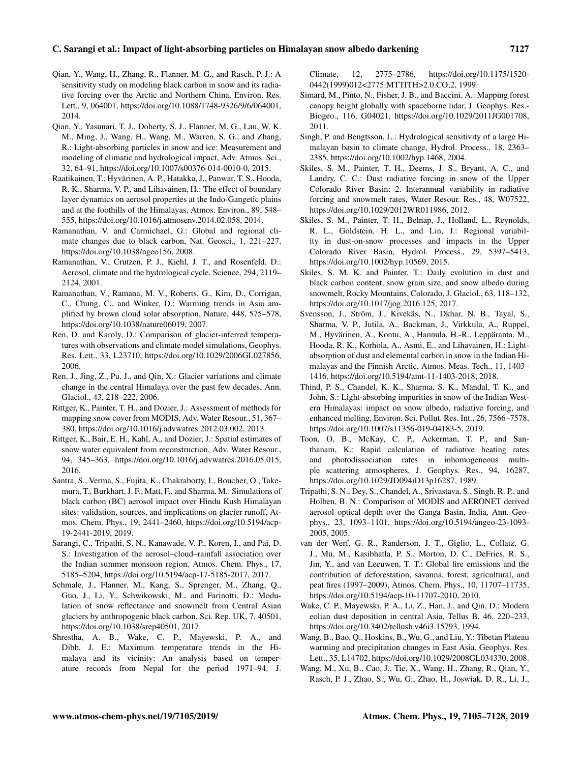- Qian, Y., Wang, H., Zhang, R., Flanner, M. G., and Rasch, P. J.: A sensitivity study on modeling black carbon in snow and its radiative forcing over the Arctic and Northern China, Environ. Res. Lett., 9, 064001, https://doi.org/10.1088/1748-9326/9/6/064001, 2014.
- Qian, Y., Yasunari, T. J., Doherty, S. J., Flanner, M. G., Lau, W. K. M., Ming, J., Wang, H., Wang, M., Warren, S. G., and Zhang, R.: Light-absorbing particles in snow and ice: Measurement and modeling of climatic and hydrological impact, Adv. Atmos. Sci., 32, 64–91, https://doi.org/10.1007/s00376-014-0010-0, 2015.
- Raatikainen, T., Hyvärinen, A. P., Hatakka, J., Panwar, T. S., Hooda, R. K., Sharma, V. P., and Lihavainen, H.: The effect of boundary layer dynamics on aerosol properties at the Indo-Gangetic plains and at the foothills of the Himalayas, Atmos. Environ., 89, 548– 555, https://doi.org/10.1016/j.atmosenv.2014.02.058, 2014.
- Ramanathan, V. and Carmichael, G.: Global and regional climate changes due to black carbon, Nat. Geosci., 1, 221–227, https://doi.org/10.1038/ngeo156, 2008.
- Ramanathan, V., Crutzen, P. J., Kiehl, J. T., and Rosenfeld, D.: Aerosol, climate and the hydrological cycle, Science, 294, 2119– 2124, 2001.
- Ramanathan, V., Ramana, M. V., Roberts, G., Kim, D., Corrigan, C., Chung, C., and Winker, D.: Warming trends in Asia amplified by brown cloud solar absorption, Nature, 448, 575–578, https://doi.org/10.1038/nature06019, 2007.
- Ren, D. and Karoly, D.: Comparison of glacier-inferred temperatures with observations and climate model simulations, Geophys. Res. Lett., 33, L23710, https://doi.org/10.1029/2006GL027856, 2006.
- Ren, J., Jing, Z., Pu, J., and Qin, X.: Glacier variations and climate change in the central Himalaya over the past few decades, Ann. Glaciol., 43, 218–222, 2006.
- Rittger, K., Painter, T. H., and Dozier, J.: Assessment of methods for mapping snow cover from MODIS, Adv. Water Resour., 51, 367– 380, https://doi.org/10.1016/j.advwatres.2012.03.002, 2013.
- Rittger, K., Bair, E. H., Kahl, A., and Dozier, J.: Spatial estimates of snow water equivalent from reconstruction, Adv. Water Resour., 94, 345–363, https://doi.org/10.1016/j.advwatres.2016.05.015, 2016.
- Santra, S., Verma, S., Fujita, K., Chakraborty, I., Boucher, O., Takemura, T., Burkhart, J. F., Matt, F., and Sharma, M.: Simulations of black carbon (BC) aerosol impact over Hindu Kush Himalayan sites: validation, sources, and implications on glacier runoff, Atmos. Chem. Phys., 19, 2441–2460, https://doi.org/10.5194/acp-19-2441-2019, 2019.
- Sarangi, C., Tripathi, S. N., Kanawade, V. P., Koren, I., and Pai, D. S.: Investigation of the aerosol–cloud–rainfall association over the Indian summer monsoon region, Atmos. Chem. Phys., 17, 5185–5204, https://doi.org/10.5194/acp-17-5185-2017, 2017.
- Schmale, J., Flanner, M., Kang, S., Sprenger, M., Zhang, Q., Guo, J., Li, Y., Schwikowski, M., and Farinotti, D.: Modulation of snow reflectance and snowmelt from Central Asian glaciers by anthropogenic black carbon, Sci. Rep. UK, 7, 40501, https://doi.org/10.1038/srep40501, 2017.
- Shrestha, A. B., Wake, C. P., Mayewski, P. A., and Dibb, J. E.: Maximum temperature trends in the Himalaya and its vicinity: An analysis based on temperature records from Nepal for the period 1971–94, J.

Climate, 12, 2775–2786, https://doi.org/10.1175/1520- 0442(1999)012<2775:MTTITH>2.0.CO;2, 1999.

- Simard, M., Pinto, N., Fisher, J. B., and Baccini, A.: Mapping forest canopy height globally with spaceborne lidar, J. Geophys. Res.- Biogeo., 116, G04021, https://doi.org/10.1029/2011JG001708, 2011.
- Singh, P. and Bengtsson, L.: Hydrological sensitivity of a large Himalayan basin to climate change, Hydrol. Process., 18, 2363– 2385, https://doi.org/10.1002/hyp.1468, 2004.
- Skiles, S. M., Painter, T. H., Deems, J. S., Bryant, A. C., and Landry, C. C.: Dust radiative forcing in snow of the Upper Colorado River Basin: 2. Interannual variability in radiative forcing and snowmelt rates, Water Resour. Res., 48, W07522, https://doi.org/10.1029/2012WR011986, 2012.
- Skiles, S. M., Painter, T. H., Belnap, J., Holland, L., Reynolds, R. L., Goldstein, H. L., and Lin, J.: Regional variability in dust-on-snow processes and impacts in the Upper Colorado River Basin, Hydrol. Process., 29, 5397–5413, https://doi.org/10.1002/hyp.10569, 2015.
- Skiles, S. M. K. and Painter, T.: Daily evolution in dust and black carbon content, snow grain size, and snow albedo during snowmelt, Rocky Mountains, Colorado, J. Glaciol., 63, 118–132, https://doi.org/10.1017/jog.2016.125, 2017.
- Svensson, J., Ström, J., Kivekäs, N., Dkhar, N. B., Tayal, S., Sharma, V. P., Jutila, A., Backman, J., Virkkula, A., Ruppel, M., Hyvärinen, A., Kontu, A., Hannula, H.-R., Leppäranta, M., Hooda, R. K., Korhola, A., Asmi, E., and Lihavainen, H.: Lightabsorption of dust and elemental carbon in snow in the Indian Himalayas and the Finnish Arctic, Atmos. Meas. Tech., 11, 1403– 1416, https://doi.org/10.5194/amt-11-1403-2018, 2018.
- Thind, P. S., Chandel, K. K., Sharma, S. K., Mandal, T. K., and John, S.: Light-absorbing impurities in snow of the Indian Western Himalayas: impact on snow albedo, radiative forcing, and enhanced melting, Environ. Sci. Pollut. Res. Int., 26, 7566–7578, https://doi.org/10.1007/s11356-019-04183-5, 2019.
- Toon, O. B., McKay, C. P., Ackerman, T. P., and Santhanam, K.: Rapid calculation of radiative heating rates and photodissociation rates in inhomogeneous multiple scattering atmospheres, J. Geophys. Res., 94, 16287, https://doi.org/10.1029/JD094iD13p16287, 1989.
- Tripathi, S. N., Dey, S., Chandel, A., Srivastava, S., Singh, R. P., and Holben, B. N.: Comparison of MODIS and AERONET derived aerosol optical depth over the Ganga Basin, India, Ann. Geophys., 23, 1093–1101, https://doi.org/10.5194/angeo-23-1093- 2005, 2005.
- van der Werf, G. R., Randerson, J. T., Giglio, L., Collatz, G. J., Mu, M., Kasibhatla, P. S., Morton, D. C., DeFries, R. S., Jin, Y., and van Leeuwen, T. T.: Global fire emissions and the contribution of deforestation, savanna, forest, agricultural, and peat fires (1997–2009), Atmos. Chem. Phys., 10, 11707–11735, https://doi.org/10.5194/acp-10-11707-2010, 2010.
- Wake, C. P., Mayewski, P. A., Li, Z., Han, J., and Qin, D.: Modern eolian dust deposition in central Asia, Tellus B, 46, 220–233, https://doi.org/10.3402/tellusb.v46i3.15793, 1994.
- Wang, B., Bao, Q., Hoskins, B., Wu, G., and Liu, Y.: Tibetan Plateau warming and precipitation changes in East Asia, Geophys. Res. Lett., 35, L14702, https://doi.org/10.1029/2008GL034330, 2008.
- Wang, M., Xu, B., Cao, J., Tie, X., Wang, H., Zhang, R., Qian, Y., Rasch, P. J., Zhao, S., Wu, G., Zhao, H., Joswiak, D. R., Li, J.,